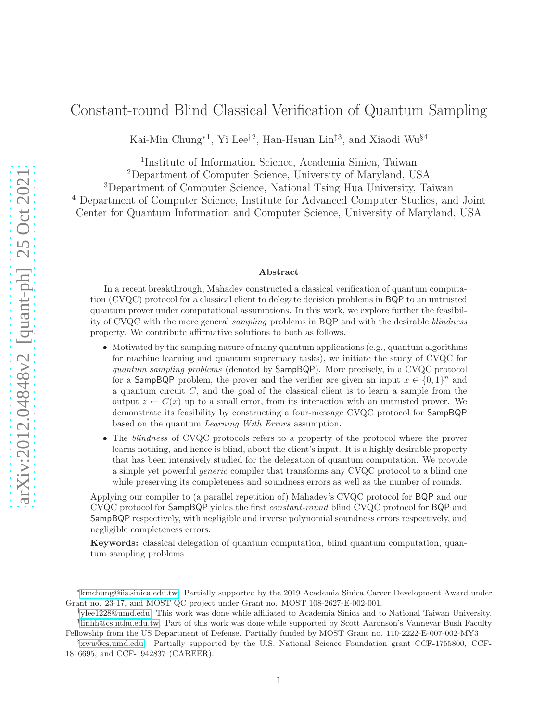# Constant-round Blind Classical Verification of Quantum Sampling

Kai-Min Chung<sup>\*1</sup>, Yi Lee<sup>†2</sup>, Han-Hsuan Lin<sup>‡3</sup>, and Xiaodi Wu<sup>§4</sup>

1 Institute of Information Science, Academia Sinica, Taiwan

<sup>2</sup>Department of Computer Science, University of Maryland, USA

<sup>3</sup>Department of Computer Science, National Tsing Hua University, Taiwan

<sup>4</sup> Department of Computer Science, Institute for Advanced Computer Studies, and Joint Center for Quantum Information and Computer Science, University of Maryland, USA

#### Abstract

In a recent breakthrough, Mahadev constructed a classical verification of quantum computation (CVQC) protocol for a classical client to delegate decision problems in BQP to an untrusted quantum prover under computational assumptions. In this work, we explore further the feasibility of CVQC with the more general sampling problems in BQP and with the desirable blindness property. We contribute affirmative solutions to both as follows.

- Motivated by the sampling nature of many quantum applications (e.g., quantum algorithms for machine learning and quantum supremacy tasks), we initiate the study of CVQC for quantum sampling problems (denoted by SampBQP). More precisely, in a CVQC protocol for a SampBQP problem, the prover and the verifier are given an input  $x \in \{0,1\}^n$  and a quantum circuit  $C$ , and the goal of the classical client is to learn a sample from the output  $z \leftarrow C(x)$  up to a small error, from its interaction with an untrusted prover. We demonstrate its feasibility by constructing a four-message CVQC protocol for SampBQP based on the quantum Learning With Errors assumption.
- The blindness of CVQC protocols refers to a property of the protocol where the prover learns nothing, and hence is blind, about the client's input. It is a highly desirable property that has been intensively studied for the delegation of quantum computation. We provide a simple yet powerful generic compiler that transforms any CVQC protocol to a blind one while preserving its completeness and soundness errors as well as the number of rounds.

Applying our compiler to (a parallel repetition of) Mahadev's CVQC protocol for BQP and our CVQC protocol for SampBQP yields the first constant-round blind CVQC protocol for BQP and SampBQP respectively, with negligible and inverse polynomial soundness errors respectively, and negligible completeness errors.

Keywords: classical delegation of quantum computation, blind quantum computation, quantum sampling problems

<sup>∗</sup> [kmchung@iis.sinica.edu.tw.](mailto:kmchung@iis.sinica.edu.tw) Partially supported by the 2019 Academia Sinica Career Development Award under Grant no. 23-17, and MOST QC project under Grant no. MOST 108-2627-E-002-001.

<sup>†</sup> [ylee1228@umd.edu.](mailto:ylee1228@umd.edu) This work was done while affiliated to Academia Sinica and to National Taiwan University. ‡ [linhh@cs.nthu.edu.tw.](mailto:linhh@cs.nthu.edu.tw) Part of this work was done while supported by Scott Aaronson's Vannevar Bush Faculty Fellowship from the US Department of Defense. Partially funded by MOST Grant no. 110-2222-E-007-002-MY3

<sup>§</sup> [xwu@cs.umd.edu.](mailto:xwu@cs.umd.edu) Partially supported by the U.S. National Science Foundation grant CCF-1755800, CCF-1816695, and CCF-1942837 (CAREER).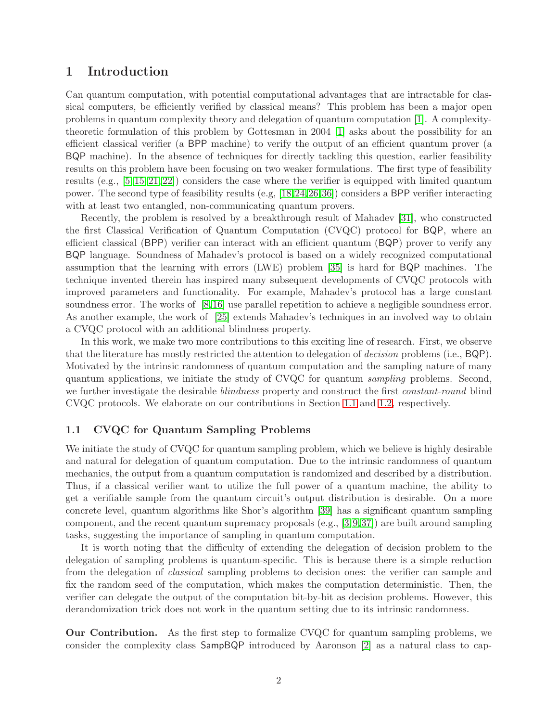# 1 Introduction

Can quantum computation, with potential computational advantages that are intractable for classical computers, be efficiently verified by classical means? This problem has been a major open problems in quantum complexity theory and delegation of quantum computation [\[1\]](#page-26-0). A complexitytheoretic formulation of this problem by Gottesman in 2004 [\[1\]](#page-26-0) asks about the possibility for an efficient classical verifier (a BPP machine) to verify the output of an efficient quantum prover (a BQP machine). In the absence of techniques for directly tackling this question, earlier feasibility results on this problem have been focusing on two weaker formulations. The first type of feasibility results (e.g., [\[5,](#page-26-1) [15,](#page-27-0) [21,](#page-27-1) [22\]](#page-27-2)) considers the case where the verifier is equipped with limited quantum power. The second type of feasibility results (e.g, [\[18,](#page-27-3)[24,](#page-28-0)[26,](#page-28-1)[36\]](#page-28-2)) considers a BPP verifier interacting with at least two entangled, non-communicating quantum provers.

Recently, the problem is resolved by a breakthrough result of Mahadev [\[31\]](#page-28-3), who constructed the first Classical Verification of Quantum Computation (CVQC) protocol for BQP, where an efficient classical (BPP) verifier can interact with an efficient quantum (BQP) prover to verify any BQP language. Soundness of Mahadev's protocol is based on a widely recognized computational assumption that the learning with errors (LWE) problem [\[35\]](#page-28-4) is hard for BQP machines. The technique invented therein has inspired many subsequent developments of CVQC protocols with improved parameters and functionality. For example, Mahadev's protocol has a large constant soundness error. The works of [\[8,](#page-26-2)[16\]](#page-27-4) use parallel repetition to achieve a negligible soundness error. As another example, the work of [\[25\]](#page-28-5) extends Mahadev's techniques in an involved way to obtain a CVQC protocol with an additional blindness property.

In this work, we make two more contributions to this exciting line of research. First, we observe that the literature has mostly restricted the attention to delegation of decision problems (i.e., BQP). Motivated by the intrinsic randomness of quantum computation and the sampling nature of many quantum applications, we initiate the study of CVQC for quantum sampling problems. Second, we further investigate the desirable *blindness* property and construct the first *constant-round* blind CVQC protocols. We elaborate on our contributions in Section [1.1](#page-1-0) and [1.2,](#page-5-0) respectively.

### <span id="page-1-0"></span>1.1 CVQC for Quantum Sampling Problems

We initiate the study of CVQC for quantum sampling problem, which we believe is highly desirable and natural for delegation of quantum computation. Due to the intrinsic randomness of quantum mechanics, the output from a quantum computation is randomized and described by a distribution. Thus, if a classical verifier want to utilize the full power of a quantum machine, the ability to get a verifiable sample from the quantum circuit's output distribution is desirable. On a more concrete level, quantum algorithms like Shor's algorithm [\[39\]](#page-28-6) has a significant quantum sampling component, and the recent quantum supremacy proposals (e.g., [\[3,](#page-26-3)[9,](#page-27-5)[37\]](#page-28-7)) are built around sampling tasks, suggesting the importance of sampling in quantum computation.

It is worth noting that the difficulty of extending the delegation of decision problem to the delegation of sampling problems is quantum-specific. This is because there is a simple reduction from the delegation of classical sampling problems to decision ones: the verifier can sample and fix the random seed of the computation, which makes the computation deterministic. Then, the verifier can delegate the output of the computation bit-by-bit as decision problems. However, this derandomization trick does not work in the quantum setting due to its intrinsic randomness.

Our Contribution. As the first step to formalize CVQC for quantum sampling problems, we consider the complexity class SampBQP introduced by Aaronson [\[2\]](#page-26-4) as a natural class to cap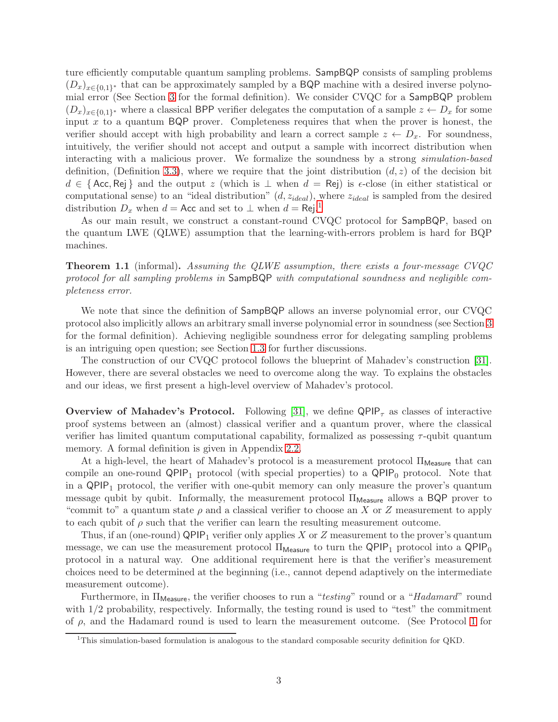ture efficiently computable quantum sampling problems. SampBQP consists of sampling problems  $(D_x)_{x\in\{0,1\}^*}$  that can be approximately sampled by a BQP machine with a desired inverse polynomial error (See Section [3](#page-10-0) for the formal definition). We consider CVQC for a SampBQP problem  $(D_x)_{x\in\{0,1\}^*}$  where a classical BPP verifier delegates the computation of a sample  $z \leftarrow D_x$  for some input  $x$  to a quantum BQP prover. Completeness requires that when the prover is honest, the verifier should accept with high probability and learn a correct sample  $z \leftarrow D_x$ . For soundness, intuitively, the verifier should not accept and output a sample with incorrect distribution when interacting with a malicious prover. We formalize the soundness by a strong simulation-based definition, (Definition [3.3\)](#page-10-1), where we require that the joint distribution  $(d, z)$  of the decision bit  $d \in \{\text{Acc}, \text{Rej}\}\$ and the output z (which is  $\perp$  when  $d = \text{Rej}\$  is  $\epsilon$ -close (in either statistical or computational sense) to an "ideal distribution"  $(d, z_{ideal})$ , where  $z_{ideal}$  is sampled from the desired distribution  $D_x$  when  $d = \text{Acc}$  and set to  $\perp$  when  $d = \text{Rej}.^1$  $d = \text{Rej}.^1$ 

<span id="page-2-1"></span>As our main result, we construct a constant-round CVQC protocol for SampBQP, based on the quantum LWE (QLWE) assumption that the learning-with-errors problem is hard for BQP machines.

**Theorem 1.1** (informal). Assuming the QLWE assumption, there exists a four-message CVQC protocol for all sampling problems in SampBQP with computational soundness and negligible completeness error.

We note that since the definition of  $SampBQP$  allows an inverse polynomial error, our CVQC protocol also implicitly allows an arbitrary small inverse polynomial error in soundness (see Section [3](#page-10-0) for the formal definition). Achieving negligible soundness error for delegating sampling problems is an intriguing open question; see Section [1.3](#page-6-0) for further discussions.

The construction of our CVQC protocol follows the blueprint of Mahadev's construction [\[31\]](#page-28-3). However, there are several obstacles we need to overcome along the way. To explains the obstacles and our ideas, we first present a high-level overview of Mahadev's protocol.

**Overview of Mahadev's Protocol.** Following [\[31\]](#page-28-3), we define  $\mathsf{QPIP}_{\tau}$  as classes of interactive proof systems between an (almost) classical verifier and a quantum prover, where the classical verifier has limited quantum computational capability, formalized as possessing  $\tau$ -qubit quantum memory. A formal definition is given in Appendix [2.2.](#page-8-0)

At a high-level, the heart of Mahadev's protocol is a measurement protocol  $\Pi_{\text{Measure}}$  that can compile an one-round  $QPIP_1$  protocol (with special properties) to a  $QPIP_0$  protocol. Note that in a  $\mathsf{QPIP}_1$  protocol, the verifier with one-qubit memory can only measure the prover's quantum message qubit by qubit. Informally, the measurement protocol  $\Pi_{\text{Measure}}$  allows a BQP prover to "commit to" a quantum state  $\rho$  and a classical verifier to choose an X or Z measurement to apply to each qubit of  $\rho$  such that the verifier can learn the resulting measurement outcome.

Thus, if an (one-round)  $\mathsf{QPIP}_1$  verifier only applies X or Z measurement to the prover's quantum message, we can use the measurement protocol  $\Pi_{\text{Measure}}$  to turn the QPIP<sub>1</sub> protocol into a QPIP<sub>0</sub> protocol in a natural way. One additional requirement here is that the verifier's measurement choices need to be determined at the beginning (i.e., cannot depend adaptively on the intermediate measurement outcome).

Furthermore, in  $\Pi_{\text{Measure}}$ , the verifier chooses to run a "testing" round or a "Hadamard" round with 1/2 probability, respectively. Informally, the testing round is used to "test" the commitment of  $\rho$ , and the Hadamard round is used to learn the measurement outcome. (See Protocol [1](#page-13-0) for

<span id="page-2-0"></span><sup>&</sup>lt;sup>1</sup>This simulation-based formulation is analogous to the standard composable security definition for QKD.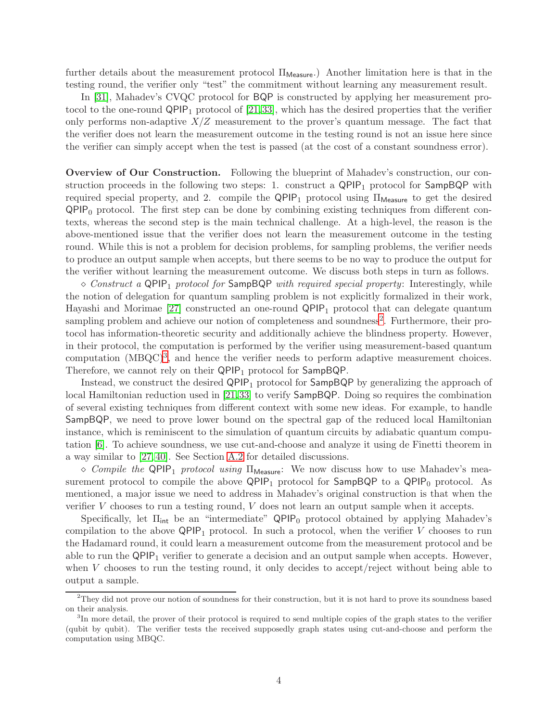further details about the measurement protocol  $\Pi_{\text{Measure}}$ .) Another limitation here is that in the testing round, the verifier only "test" the commitment without learning any measurement result.

In [\[31\]](#page-28-3), Mahadev's CVQC protocol for BQP is constructed by applying her measurement protocol to the one-round  $\mathsf{QPIP}_1$  protocol of [\[21,](#page-27-1) [33\]](#page-28-8), which has the desired properties that the verifier only performs non-adaptive  $X/Z$  measurement to the prover's quantum message. The fact that the verifier does not learn the measurement outcome in the testing round is not an issue here since the verifier can simply accept when the test is passed (at the cost of a constant soundness error).

Overview of Our Construction. Following the blueprint of Mahadev's construction, our construction proceeds in the following two steps: 1. construct a  $QPIP_1$  protocol for SampBQP with required special property, and 2. compile the  $\mathsf{QPIP}_1$  protocol using  $\Pi_{\mathsf{Measure}}$  to get the desired  $QPIP_0$  protocol. The first step can be done by combining existing techniques from different contexts, whereas the second step is the main technical challenge. At a high-level, the reason is the above-mentioned issue that the verifier does not learn the measurement outcome in the testing round. While this is not a problem for decision problems, for sampling problems, the verifier needs to produce an output sample when accepts, but there seems to be no way to produce the output for the verifier without learning the measurement outcome. We discuss both steps in turn as follows.

 $\Diamond$  Construct a QPIP<sub>1</sub> protocol for SampBQP with required special property: Interestingly, while the notion of delegation for quantum sampling problem is not explicitly formalized in their work, Hayashi and Morimae [\[27\]](#page-28-9) constructed an one-round  $\mathsf{QPIP}_1$  protocol that can delegate quantum sampling problem and achieve our notion of completeness and soundness<sup>[2](#page-3-0)</sup>. Furthermore, their protocol has information-theoretic security and additionally achieve the blindness property. However, in their protocol, the computation is performed by the verifier using measurement-based quantum computation  $(MBQC)^3$  $(MBQC)^3$ , and hence the verifier needs to perform adaptive measurement choices. Therefore, we cannot rely on their  $QPIP_1$  protocol for  $SampBQP$ .

Instead, we construct the desired  $QPIP_1$  protocol for  $SampBQP$  by generalizing the approach of local Hamiltonian reduction used in [\[21,](#page-27-1)[33\]](#page-28-8) to verify SampBQP. Doing so requires the combination of several existing techniques from different context with some new ideas. For example, to handle SampBQP, we need to prove lower bound on the spectral gap of the reduced local Hamiltonian instance, which is reminiscent to the simulation of quantum circuits by adiabatic quantum computation [\[6\]](#page-26-5). To achieve soundness, we use cut-and-choose and analyze it using de Finetti theorem in a way similar to [\[27,](#page-28-9) [40\]](#page-28-10). See Section [A.2](#page-32-0) for detailed discussions.

 $\Diamond$  Compile the QPIP<sub>1</sub> protocol using  $\Pi_{\text{Measure}}$ : We now discuss how to use Mahadev's measurement protocol to compile the above  $QPIP_1$  protocol for SampBQP to a  $QPIP_0$  protocol. As mentioned, a major issue we need to address in Mahadev's original construction is that when the verifier V chooses to run a testing round, V does not learn an output sample when it accepts.

Specifically, let  $\Pi_{int}$  be an "intermediate"  $QPIP_0$  protocol obtained by applying Mahadev's compilation to the above  $\mathsf{QPIP}_1$  protocol. In such a protocol, when the verifier V chooses to run the Hadamard round, it could learn a measurement outcome from the measurement protocol and be able to run the  $QPIP_1$  verifier to generate a decision and an output sample when accepts. However, when V chooses to run the testing round, it only decides to accept/reject without being able to output a sample.

<span id="page-3-0"></span><sup>2</sup>They did not prove our notion of soundness for their construction, but it is not hard to prove its soundness based on their analysis.

<span id="page-3-1"></span><sup>&</sup>lt;sup>3</sup>In more detail, the prover of their protocol is required to send multiple copies of the graph states to the verifier (qubit by qubit). The verifier tests the received supposedly graph states using cut-and-choose and perform the computation using MBQC.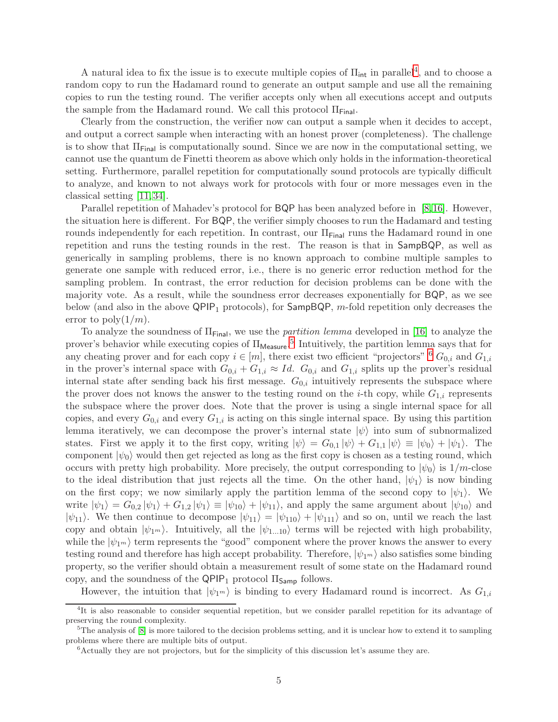A natural idea to fix the issue is to execute multiple copies of  $\Pi_{\text{int}}$  in parallel<sup>[4](#page-4-0)</sup>, and to choose a random copy to run the Hadamard round to generate an output sample and use all the remaining copies to run the testing round. The verifier accepts only when all executions accept and outputs the sample from the Hadamard round. We call this protocol  $\Pi_{\text{Final}}$ .

Clearly from the construction, the verifier now can output a sample when it decides to accept, and output a correct sample when interacting with an honest prover (completeness). The challenge is to show that  $\Pi_{\text{Final}}$  is computationally sound. Since we are now in the computational setting, we cannot use the quantum de Finetti theorem as above which only holds in the information-theoretical setting. Furthermore, parallel repetition for computationally sound protocols are typically difficult to analyze, and known to not always work for protocols with four or more messages even in the classical setting [\[11,](#page-27-6) [34\]](#page-28-11).

Parallel repetition of Mahadev's protocol for BQP has been analyzed before in [\[8,](#page-26-2)[16\]](#page-27-4). However, the situation here is different. For BQP, the verifier simply chooses to run the Hadamard and testing rounds independently for each repetition. In contrast, our  $\Pi_{\text{Final}}$  runs the Hadamard round in one repetition and runs the testing rounds in the rest. The reason is that in SampBQP, as well as generically in sampling problems, there is no known approach to combine multiple samples to generate one sample with reduced error, i.e., there is no generic error reduction method for the sampling problem. In contrast, the error reduction for decision problems can be done with the majority vote. As a result, while the soundness error decreases exponentially for BQP, as we see below (and also in the above  $QPIP_1$  protocols), for  $SampBQP, m-fold repetition$  only decreases the error to  $poly(1/m)$ .

To analyze the soundness of  $\Pi_{\text{Final}}$ , we use the *partition lemma* developed in [\[16\]](#page-27-4) to analyze the prover's behavior while executing copies of  $\Pi_{\text{Measure}}$ <sup>[5](#page-4-1)</sup> Intuitively, the partition lemma says that for any cheating prover and for each copy  $i \in [m]$ , there exist two efficient "projectors" <sup>[6](#page-4-2)</sup>  $G_{0,i}$  and  $G_{1,i}$ in the prover's internal space with  $G_{0,i} + G_{1,i} \approx Id$ .  $G_{0,i}$  and  $G_{1,i}$  splits up the prover's residual internal state after sending back his first message.  $G_{0,i}$  intuitively represents the subspace where the prover does not knows the answer to the testing round on the *i*-th copy, while  $G_{1,i}$  represents the subspace where the prover does. Note that the prover is using a single internal space for all copies, and every  $G_{0,i}$  and every  $G_{1,i}$  is acting on this single internal space. By using this partition lemma iteratively, we can decompose the prover's internal state  $|\psi\rangle$  into sum of subnormalized states. First we apply it to the first copy, writing  $|\psi\rangle = G_{0,1} |\psi\rangle + G_{1,1} |\psi\rangle \equiv |\psi_0\rangle + |\psi_1\rangle$ . The component  $|\psi_0\rangle$  would then get rejected as long as the first copy is chosen as a testing round, which occurs with pretty high probability. More precisely, the output corresponding to  $|\psi_0\rangle$  is  $1/m$ -close to the ideal distribution that just rejects all the time. On the other hand,  $|\psi_1\rangle$  is now binding on the first copy; we now similarly apply the partition lemma of the second copy to  $|\psi_1\rangle$ . We write  $|\psi_1\rangle = G_{0,2} |\psi_1\rangle + G_{1,2} |\psi_1\rangle \equiv |\psi_{10}\rangle + |\psi_{11}\rangle$ , and apply the same argument about  $|\psi_{10}\rangle$  and  $|\psi_{11}\rangle$ . We then continue to decompose  $|\psi_{11}\rangle = |\psi_{110}\rangle + |\psi_{111}\rangle$  and so on, until we reach the last copy and obtain  $|\psi_{1m}\rangle$ . Intuitively, all the  $|\psi_{1m,10}\rangle$  terms will be rejected with high probability, while the  $|\psi_{1m}\rangle$  term represents the "good" component where the prover knows the answer to every testing round and therefore has high accept probability. Therefore,  $|\psi_{1m}\rangle$  also satisfies some binding property, so the verifier should obtain a measurement result of some state on the Hadamard round copy, and the soundness of the  $\mathsf{QPIP}_1$  protocol  $\Pi_{\mathsf{Samp}}$  follows.

However, the intuition that  $|\psi_{1^m}\rangle$  is binding to every Hadamard round is incorrect. As  $G_{1,i}$ 

<span id="page-4-0"></span><sup>&</sup>lt;sup>4</sup>It is also reasonable to consider sequential repetition, but we consider parallel repetition for its advantage of preserving the round complexity.

<sup>&</sup>lt;sup>5</sup>The analysis of [\[8\]](#page-26-2) is more tailored to the decision problems setting, and it is unclear how to extend it to sampling problems where there are multiple bits of output.

<span id="page-4-2"></span><span id="page-4-1"></span> $6$ Actually they are not projectors, but for the simplicity of this discussion let's assume they are.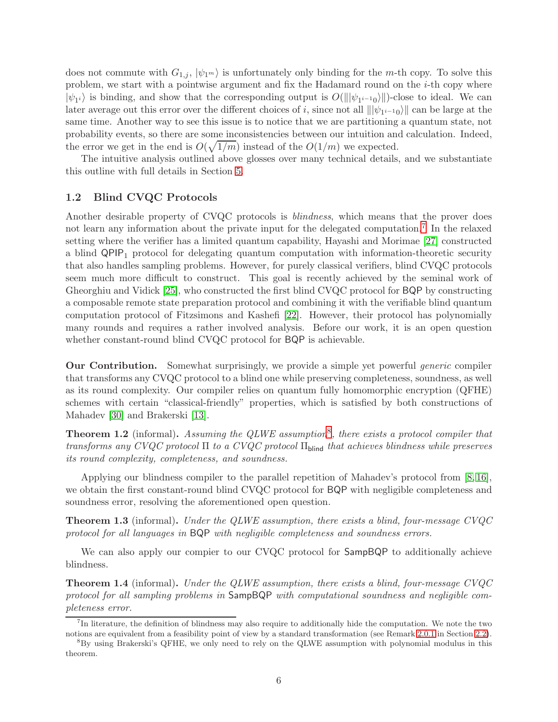does not commute with  $G_{1,j}$ ,  $|\psi_{1^m}\rangle$  is unfortunately only binding for the m-th copy. To solve this problem, we start with a pointwise argument and fix the Hadamard round on the  $i$ -th copy where  $|\psi_{1i}\rangle$  is binding, and show that the corresponding output is  $O(|||\psi_{1i-10}\rangle||)$ -close to ideal. We can later average out this error over the different choices of i, since not all  $\|\psi_{1^{i-1}0}\|\|$  can be large at the same time. Another way to see this issue is to notice that we are partitioning a quantum state, not probability events, so there are some inconsistencies between our intuition and calculation. Indeed, the error we get in the end is  $O(\sqrt{1/m})$  instead of the  $O(1/m)$  we expected.

The intuitive analysis outlined above glosses over many technical details, and we substantiate this outline with full details in Section [5.](#page-12-0)

### <span id="page-5-0"></span>1.2 Blind CVQC Protocols

Another desirable property of CVQC protocols is blindness, which means that the prover does not learn any information about the private input for the delegated computation.<sup>[7](#page-5-1)</sup> In the relaxed setting where the verifier has a limited quantum capability, Hayashi and Morimae [\[27\]](#page-28-9) constructed a blind  $\mathsf{QPIP}_1$  protocol for delegating quantum computation with information-theoretic security that also handles sampling problems. However, for purely classical verifiers, blind CVQC protocols seem much more difficult to construct. This goal is recently achieved by the seminal work of Gheorghiu and Vidick [\[25\]](#page-28-5), who constructed the first blind CVQC protocol for BQP by constructing a composable remote state preparation protocol and combining it with the verifiable blind quantum computation protocol of Fitzsimons and Kashefi [\[22\]](#page-27-2). However, their protocol has polynomially many rounds and requires a rather involved analysis. Before our work, it is an open question whether constant-round blind CVQC protocol for BQP is achievable.

Our Contribution. Somewhat surprisingly, we provide a simple yet powerful generic compiler that transforms any CVQC protocol to a blind one while preserving completeness, soundness, as well as its round complexity. Our compiler relies on quantum fully homomorphic encryption (QFHE) schemes with certain "classical-friendly" properties, which is satisfied by both constructions of Mahadev [\[30\]](#page-28-12) and Brakerski [\[13\]](#page-27-7).

**Theorem 1.2** (informal). Assuming the QLWE assumption<sup>[8](#page-5-2)</sup>, there exists a protocol compiler that transforms any CVQC protocol  $\Pi$  to a CVQC protocol  $\Pi_{\text{blind}}$  that achieves blindness while preserves its round complexity, completeness, and soundness.

Applying our blindness compiler to the parallel repetition of Mahadev's protocol from [\[8,](#page-26-2) [16\]](#page-27-4), we obtain the first constant-round blind CVQC protocol for BQP with negligible completeness and soundness error, resolving the aforementioned open question.

**Theorem 1.3** (informal). Under the QLWE assumption, there exists a blind, four-message CVQC protocol for all languages in BQP with negligible completeness and soundness errors.

We can also apply our compier to our CVQC protocol for SampBQP to additionally achieve blindness.

**Theorem 1.4** (informal). Under the QLWE assumption, there exists a blind, four-message CVQC protocol for all sampling problems in SampBQP with computational soundness and negligible completeness error.

<span id="page-5-1"></span><sup>&</sup>lt;sup>7</sup>In literature, the definition of blindness may also require to additionally hide the computation. We note the two notions are equivalent from a feasibility point of view by a standard transformation (see Remark [2.0.1](#page-8-1) in Section [2.2\)](#page-8-0).

<span id="page-5-2"></span><sup>8</sup>By using Brakerski's QFHE, we only need to rely on the QLWE assumption with polynomial modulus in this theorem.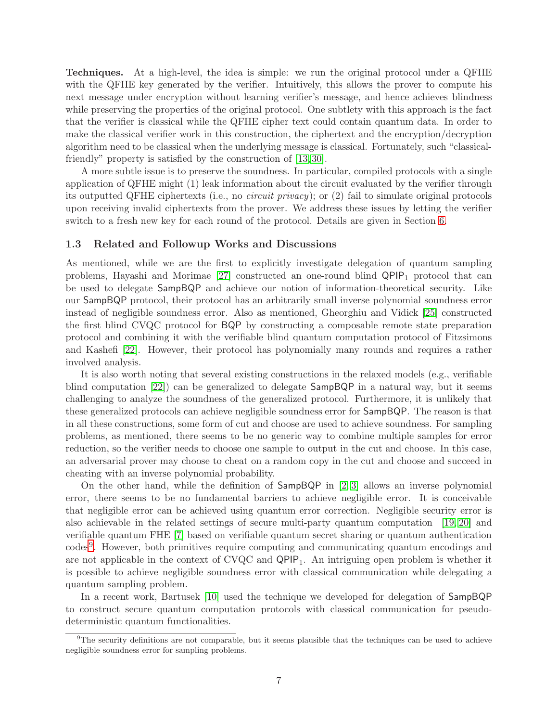Techniques. At a high-level, the idea is simple: we run the original protocol under a QFHE with the QFHE key generated by the verifier. Intuitively, this allows the prover to compute his next message under encryption without learning verifier's message, and hence achieves blindness while preserving the properties of the original protocol. One subtlety with this approach is the fact that the verifier is classical while the QFHE cipher text could contain quantum data. In order to make the classical verifier work in this construction, the ciphertext and the encryption/decryption algorithm need to be classical when the underlying message is classical. Fortunately, such "classicalfriendly" property is satisfied by the construction of [\[13,](#page-27-7) [30\]](#page-28-12).

A more subtle issue is to preserve the soundness. In particular, compiled protocols with a single application of QFHE might (1) leak information about the circuit evaluated by the verifier through its outputted QFHE ciphertexts (i.e., no *circuit privacy*); or  $(2)$  fail to simulate original protocols upon receiving invalid ciphertexts from the prover. We address these issues by letting the verifier switch to a fresh new key for each round of the protocol. Details are given in Section [6.](#page-23-0)

#### <span id="page-6-0"></span>1.3 Related and Followup Works and Discussions

As mentioned, while we are the first to explicitly investigate delegation of quantum sampling problems, Hayashi and Morimae  $[27]$  constructed an one-round blind QPIP<sub>1</sub> protocol that can be used to delegate SampBQP and achieve our notion of information-theoretical security. Like our SampBQP protocol, their protocol has an arbitrarily small inverse polynomial soundness error instead of negligible soundness error. Also as mentioned, Gheorghiu and Vidick [\[25\]](#page-28-5) constructed the first blind CVQC protocol for BQP by constructing a composable remote state preparation protocol and combining it with the verifiable blind quantum computation protocol of Fitzsimons and Kashefi [\[22\]](#page-27-2). However, their protocol has polynomially many rounds and requires a rather involved analysis.

It is also worth noting that several existing constructions in the relaxed models (e.g., verifiable blind computation [\[22\]](#page-27-2)) can be generalized to delegate SampBQP in a natural way, but it seems challenging to analyze the soundness of the generalized protocol. Furthermore, it is unlikely that these generalized protocols can achieve negligible soundness error for SampBQP. The reason is that in all these constructions, some form of cut and choose are used to achieve soundness. For sampling problems, as mentioned, there seems to be no generic way to combine multiple samples for error reduction, so the verifier needs to choose one sample to output in the cut and choose. In this case, an adversarial prover may choose to cheat on a random copy in the cut and choose and succeed in cheating with an inverse polynomial probability.

On the other hand, while the definition of  $SampBQP$  in [\[2,](#page-26-4) [3\]](#page-26-3) allows an inverse polynomial error, there seems to be no fundamental barriers to achieve negligible error. It is conceivable that negligible error can be achieved using quantum error correction. Negligible security error is also achievable in the related settings of secure multi-party quantum computation [\[19,](#page-27-8) [20\]](#page-27-9) and verifiable quantum FHE [\[7\]](#page-26-6) based on verifiable quantum secret sharing or quantum authentication codes<sup>[9](#page-6-1)</sup>. However, both primitives require computing and communicating quantum encodings and are not applicable in the context of  $CVOC$  and  $QPIP_1$ . An intriguing open problem is whether it is possible to achieve negligible soundness error with classical communication while delegating a quantum sampling problem.

In a recent work, Bartusek [\[10\]](#page-27-10) used the technique we developed for delegation of SampBQP to construct secure quantum computation protocols with classical communication for pseudodeterministic quantum functionalities.

<span id="page-6-1"></span> $9$ The security definitions are not comparable, but it seems plausible that the techniques can be used to achieve negligible soundness error for sampling problems.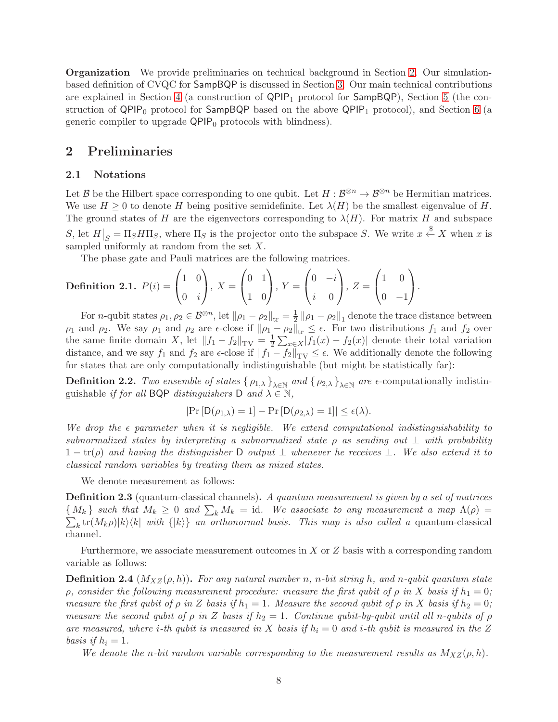**Organization** We provide preliminaries on technical background in Section [2.](#page-7-0) Our simulationbased definition of CVQC for SampBQP is discussed in Section [3.](#page-10-0) Our main technical contributions are explained in Section [4](#page-11-0) (a construction of  $\mathsf{QPIP}_1$  protocol for  $\mathsf{SampleQP}$ ), Section [5](#page-12-0) (the construction of  $QPIP_0$  protocol for SampBQP based on the above  $QPIP_1$  protocol), and Section [6](#page-23-0) (a generic compiler to upgrade  $\mathsf{QPIP}_0$  protocols with blindness).

## <span id="page-7-0"></span>2 Preliminaries

#### 2.1 Notations

Let B be the Hilbert space corresponding to one qubit. Let  $H: \mathcal{B}^{\otimes n} \to \mathcal{B}^{\otimes n}$  be Hermitian matrices. We use  $H \geq 0$  to denote H being positive semidefinite. Let  $\lambda(H)$  be the smallest eigenvalue of H. The ground states of H are the eigenvectors corresponding to  $\lambda(H)$ . For matrix H and subspace S, let  $H|_S = \Pi_S H \Pi_S$ , where  $\Pi_S$  is the projector onto the subspace S. We write  $x \stackrel{\$}{\leftarrow} X$  when x is sampled uniformly at random from the set  $X$ .

The phase gate and Pauli matrices are the following matrices.

**Definition 2.1.** 
$$
P(i) = \begin{pmatrix} 1 & 0 \ 0 & i \end{pmatrix}, X = \begin{pmatrix} 0 & 1 \ 1 & 0 \end{pmatrix}, Y = \begin{pmatrix} 0 & -i \ i & 0 \end{pmatrix}, Z = \begin{pmatrix} 1 & 0 \ 0 & -1 \end{pmatrix}.
$$

For *n*-qubit states  $\rho_1, \rho_2 \in \mathcal{B}^{\otimes n}$ , let  $\|\rho_1 - \rho_2\|_{\text{tr}} = \frac{1}{2}$  $\frac{1}{2} \|\rho_1 - \rho_2\|_1$  denote the trace distance between  $\rho_1$  and  $\rho_2$ . We say  $\rho_1$  and  $\rho_2$  are  $\epsilon$ -close if  $\|\rho_1 - \rho_2\|_{\text{tr}} \leq \epsilon$ . For two distributions  $f_1$  and  $f_2$  over the same finite domain X, let  $||f_1 - f_2||_{TV} = \frac{1}{2} \sum_{x \in X} |f_1(x) - f_2(x)|$  denote their total variation distance, and we say  $f_1$  and  $f_2$  are  $\epsilon$ -close if  $||f_1 - f_2||_{TV} \leq \epsilon$ . We additionally denote the following for states that are only computationally indistinguishable (but might be statistically far):

**Definition 2.2.** Two ensemble of states  $\{\rho_{1,\lambda}\}_{\lambda \in \mathbb{N}}$  and  $\{\rho_{2,\lambda}\}_{\lambda \in \mathbb{N}}$  are  $\epsilon$ -computationally indistinguishable if for all BQP distinguishers D and  $\lambda \in \mathbb{N}$ ,

$$
|\Pr\left[\mathsf{D}(\rho_{1,\lambda})=1\right]-\Pr\left[\mathsf{D}(\rho_{2,\lambda})=1\right]| \leq \epsilon(\lambda).
$$

We drop the  $\epsilon$  parameter when it is negligible. We extend computational indistinguishability to subnormalized states by interpreting a subnormalized state  $\rho$  as sending out  $\perp$  with probability  $1 - \text{tr}(\rho)$  and having the distinguisher D output  $\perp$  whenever he receives  $\perp$ . We also extend it to classical random variables by treating them as mixed states.

We denote measurement as follows:

Definition 2.3 (quantum-classical channels). A quantum measurement is given by a set of matrices  ${M_k}$  such that  $M_k \geq 0$  and  $\sum_k M_k = id$ . We associate to any measurement a map  $\Lambda(\rho) =$  $\sum_{k}$ tr $(M_k\rho)|k\rangle\langle k|$  with  $\{|k\rangle\}$  an orthonormal basis. This map is also called a quantum-classical channel.

Furthermore, we associate measurement outcomes in X or Z basis with a corresponding random variable as follows:

**Definition 2.4**  $(M_{XZ}(\rho, h))$ . For any natural number n, n-bit string h, and n-qubit quantum state ρ, consider the following measurement procedure: measure the first qubit of ρ in X basis if  $h_1 = 0$ ; measure the first qubit of  $\rho$  in Z basis if  $h_1 = 1$ . Measure the second qubit of  $\rho$  in X basis if  $h_2 = 0$ ; measure the second qubit of  $\rho$  in Z basis if  $h_2 = 1$ . Continue qubit-by-qubit until all n-qubits of  $\rho$ are measured, where i-th qubit is measured in X basis if  $h_i = 0$  and i-th qubit is measured in the Z basis if  $h_i = 1$ .

We denote the n-bit random variable corresponding to the measurement results as  $M_{XZ}(\rho, h)$ .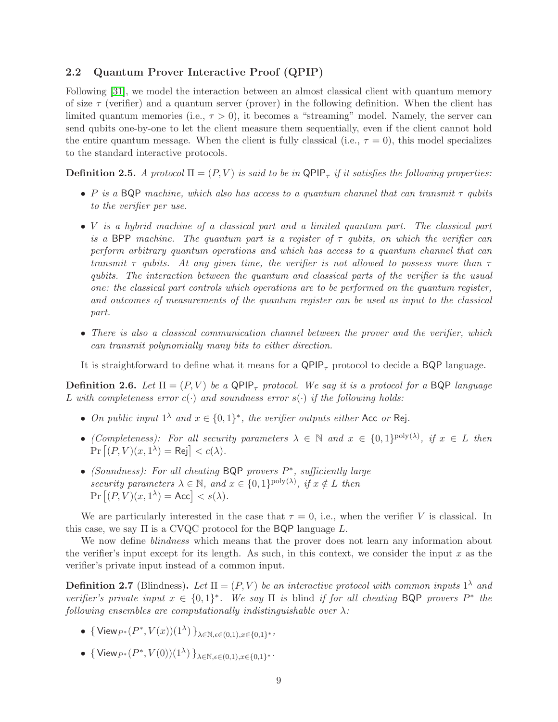### <span id="page-8-0"></span>2.2 Quantum Prover Interactive Proof (QPIP)

Following [\[31\]](#page-28-3), we model the interaction between an almost classical client with quantum memory of size  $\tau$  (verifier) and a quantum server (prover) in the following definition. When the client has limited quantum memories (i.e.,  $\tau > 0$ ), it becomes a "streaming" model. Namely, the server can send qubits one-by-one to let the client measure them sequentially, even if the client cannot hold the entire quantum message. When the client is fully classical (i.e.,  $\tau = 0$ ), this model specializes to the standard interactive protocols.

**Definition 2.5.** A protocol  $\Pi = (P, V)$  is said to be in  $\textsf{QPIP}_\tau$  if it satisfies the following properties:

- P is a BQP machine, which also has access to a quantum channel that can transmit  $\tau$  qubits to the verifier per use.
- $\bullet$  V is a hybrid machine of a classical part and a limited quantum part. The classical part is a BPP machine. The quantum part is a register of  $\tau$  qubits, on which the verifier can perform arbitrary quantum operations and which has access to a quantum channel that can transmit  $\tau$  qubits. At any given time, the verifier is not allowed to possess more than  $\tau$ qubits. The interaction between the quantum and classical parts of the verifier is the usual one: the classical part controls which operations are to be performed on the quantum register, and outcomes of measurements of the quantum register can be used as input to the classical part.
- There is also a classical communication channel between the prover and the verifier, which can transmit polynomially many bits to either direction.

It is straightforward to define what it means for a  $QPIP<sub>\tau</sub>$  protocol to decide a BQP language.

**Definition 2.6.** Let  $\Pi = (P, V)$  be a QPIP<sub> $\tau$ </sub> protocol. We say it is a protocol for a BQP language L with completeness error  $c(\cdot)$  and soundness error  $s(\cdot)$  if the following holds:

- On public input  $1^{\lambda}$  and  $x \in \{0,1\}^*$ , the verifier outputs either Acc or Rej.
- (Completeness): For all security parameters  $\lambda \in \mathbb{N}$  and  $x \in \{0,1\}^{\text{poly}(\lambda)}$ , if  $x \in L$  then  $\Pr\left[ (P, V)(x, 1^{\lambda}) = \text{Rej} \right] < c(\lambda).$
- (Soundness): For all cheating BQP provers P ∗ , sufficiently large security parameters  $\lambda \in \mathbb{N}$ , and  $x \in \{0,1\}^{\text{poly}(\lambda)}$ , if  $x \notin L$  then  $Pr[(P, V)(x, 1^{\lambda}) = Acc] < s(\lambda).$

We are particularly interested in the case that  $\tau = 0$ , i.e., when the verifier V is classical. In this case, we say  $\Pi$  is a CVQC protocol for the BQP language L.

We now define *blindness* which means that the prover does not learn any information about the verifier's input except for its length. As such, in this context, we consider the input  $x$  as the verifier's private input instead of a common input.

**Definition 2.7** (Blindness). Let  $\Pi = (P, V)$  be an interactive protocol with common inputs  $1^{\lambda}$  and verifier's private input  $x \in \{0,1\}^*$ . We say  $\Pi$  is blind if for all cheating BQP provers  $P^*$  the following ensembles are computationally indistinguishable over  $\lambda$ :

- {View  $_{P^*}(P^*, V(x))(1^{\lambda})$  } $_{\lambda \in \mathbb{N}, \epsilon \in (0,1), x \in \{0,1\}^*}$ ,
- <span id="page-8-1"></span>• {  $View_{P^*}(P^*, V(0))(1^{\lambda})$  }  $_{\lambda \in \mathbb{N}, \epsilon \in (0,1), x \in \{0,1\}^*}$ .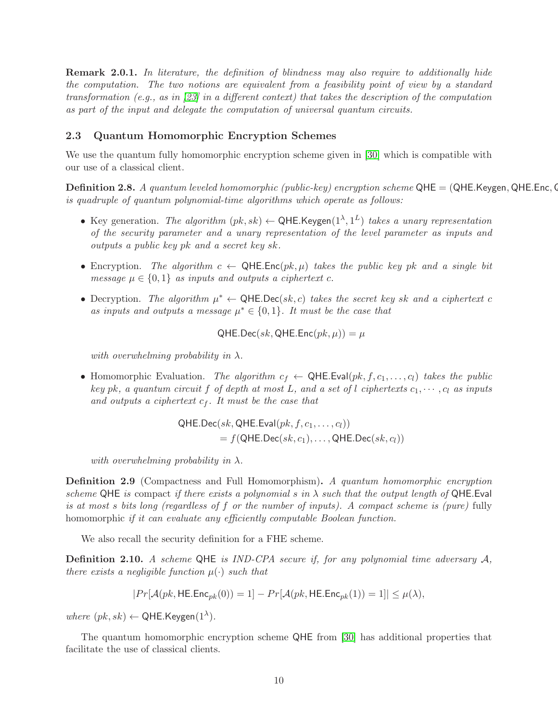**Remark 2.0.1.** In literature, the definition of blindness may also require to additionally hide the computation. The two notions are equivalent from a feasibility point of view by a standard transformation (e.g., as in [\[23\]](#page-27-11) in a different context) that takes the description of the computation as part of the input and delegate the computation of universal quantum circuits.

### 2.3 Quantum Homomorphic Encryption Schemes

We use the quantum fully homomorphic encryption scheme given in [\[30\]](#page-28-12) which is compatible with our use of a classical client.

Definition 2.8. A quantum leveled homomorphic (public-key) encryption scheme  $QHE = (QHE.Keygen, QHE.Enc, QHE)$ is quadruple of quantum polynomial-time algorithms which operate as follows:

- Key generation. The algorithm  $(pk, sk) \leftarrow \mathsf{QHE}$ . Keygen $(1^{\lambda}, 1^{\mathcal{L}})$  takes a unary representation of the security parameter and a unary representation of the level parameter as inputs and outputs a public key pk and a secret key sk.
- Encryption. The algorithm  $c \leftarrow \mathsf{QHE}.\mathsf{Enc}(pk,\mu)$  takes the public key pk and a single bit message  $\mu \in \{0,1\}$  as inputs and outputs a ciphertext c.
- Decryption. The algorithm  $\mu^* \leftarrow \text{QHE\_Dec}(sk, c)$  takes the secret key sk and a ciphertext c as inputs and outputs a message  $\mu^* \in \{0,1\}$ . It must be the case that

 $QHE.Dec(sk, QHE.Enc(pk, \mu) = \mu$ 

with overwhelming probability in  $\lambda$ .

• Homomorphic Evaluation. The algorithm  $c_f \leftarrow \mathsf{QHE}$ . Eval $(pk, f, c_1, \ldots, c_l)$  takes the public key pk, a quantum circuit f of depth at most L, and a set of l ciphertexts  $c_1, \dots, c_l$  as inputs and outputs a ciphertext  $c_f$ . It must be the case that

> QHE.Dec(sk, QHE.Eval(pk,  $f, c_1, \ldots, c_l$ ))  $= f(QHE, Dec(sk, c_1), \ldots, QHE, Dec(sk, c_l)$

with overwhelming probability in  $\lambda$ .

Definition 2.9 (Compactness and Full Homomorphism). A quantum homomorphic encryption scheme QHE is compact if there exists a polynomial s in  $\lambda$  such that the output length of QHE.Eval is at most s bits long (regardless of f or the number of inputs). A compact scheme is (pure) fully homomorphic if it can evaluate any efficiently computable Boolean function.

We also recall the security definition for a FHE scheme.

**Definition 2.10.** A scheme QHE is IND-CPA secure if, for any polynomial time adversary  $A$ , there exists a negligible function  $\mu(\cdot)$  such that

$$
|Pr[\mathcal{A}(pk, \mathsf{HE}.\mathsf{Enc}_{pk}(0)) = 1] - Pr[\mathcal{A}(pk, \mathsf{HE}.\mathsf{Enc}_{pk}(1)) = 1]| \leq \mu(\lambda),
$$

where  $(pk, sk) \leftarrow$  QHE.Keygen $(1^{\lambda})$ .

<span id="page-9-0"></span>The quantum homomorphic encryption scheme QHE from [\[30\]](#page-28-12) has additional properties that facilitate the use of classical clients.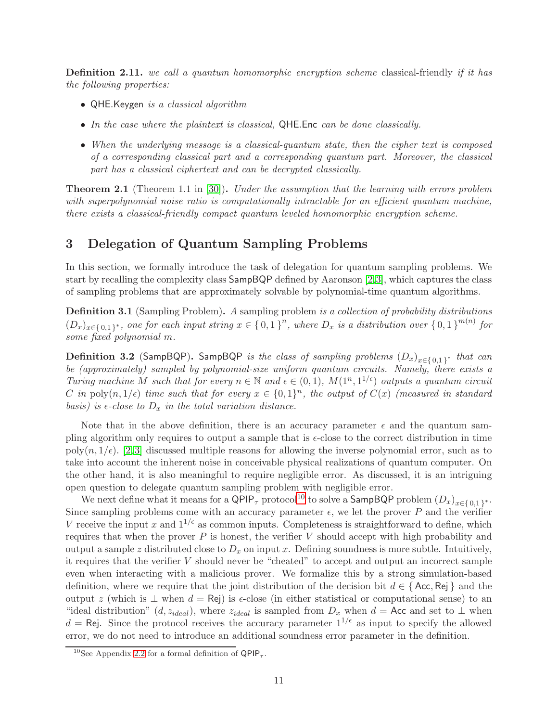**Definition 2.11.** we call a quantum homomorphic encryption scheme classical-friendly if it has the following properties:

- QHE.Keygen is a classical algorithm
- In the case where the plaintext is classical, QHE. Enc can be done classically.
- When the underlying message is a classical-quantum state, then the cipher text is composed of a corresponding classical part and a corresponding quantum part. Moreover, the classical part has a classical ciphertext and can be decrypted classically.

**Theorem 2.1** (Theorem 1.1 in [\[30\]](#page-28-12)). Under the assumption that the learning with errors problem with superpolynomial noise ratio is computationally intractable for an efficient quantum machine, there exists a classical-friendly compact quantum leveled homomorphic encryption scheme.

# <span id="page-10-0"></span>3 Delegation of Quantum Sampling Problems

In this section, we formally introduce the task of delegation for quantum sampling problems. We start by recalling the complexity class SampBQP defined by Aaronson [\[2,](#page-26-4)[3\]](#page-26-3), which captures the class of sampling problems that are approximately solvable by polynomial-time quantum algorithms.

<span id="page-10-3"></span>Definition 3.1 (Sampling Problem). A sampling problem is a collection of probability distributions  $(D_x)_{x\in\{0,1\}}$ <sup>\*</sup>, one for each input string  $x \in \{0,1\}^n$ , where  $D_x$  is a distribution over  $\{0,1\}^{m(n)}$  for some fixed polynomial m.

**Definition 3.2** (SampBQP). SampBQP is the class of sampling problems  $(D_x)_{x \in \{0,1\}^*}$  that can be (approximately) sampled by polynomial-size uniform quantum circuits. Namely, there exists a Turing machine M such that for every  $n \in \mathbb{N}$  and  $\epsilon \in (0,1)$ ,  $M(1^n, 1^{1/\epsilon})$  outputs a quantum circuit C in poly $(n,1/\epsilon)$  time such that for every  $x \in \{0,1\}^n$ , the output of  $C(x)$  (measured in standard basis) is  $\epsilon$ -close to  $D_x$  in the total variation distance.

Note that in the above definition, there is an accuracy parameter  $\epsilon$  and the quantum sampling algorithm only requires to output a sample that is  $\epsilon$ -close to the correct distribution in time poly $(n, 1/\epsilon)$ . [\[2,](#page-26-4)3] discussed multiple reasons for allowing the inverse polynomial error, such as to take into account the inherent noise in conceivable physical realizations of quantum computer. On the other hand, it is also meaningful to require negligible error. As discussed, it is an intriguing open question to delegate quantum sampling problem with negligible error.

We next define what it means for a  $\mathsf{QPIP}_{\tau}$  protocol<sup>[10](#page-10-2)</sup> to solve a  $\mathsf{SampBQP}$  problem  $(D_x)_{x \in \{0,1\}^*}$ . Since sampling problems come with an accuracy parameter  $\epsilon$ , we let the prover P and the verifier V receive the input x and  $1^{1/\epsilon}$  as common inputs. Completeness is straightforward to define, which requires that when the prover  $P$  is honest, the verifier  $V$  should accept with high probability and output a sample z distributed close to  $D_x$  on input x. Defining soundness is more subtle. Intuitively, it requires that the verifier V should never be "cheated" to accept and output an incorrect sample even when interacting with a malicious prover. We formalize this by a strong simulation-based definition, where we require that the joint distribution of the decision bit  $d \in \{\text{Acc}, \text{Rej}\}\$  and the output z (which is  $\perp$  when  $d = \text{Re}$ ) is  $\epsilon$ -close (in either statistical or computational sense) to an "ideal distribution" (d,  $z_{ideal}$ ), where  $z_{ideal}$  is sampled from  $D_x$  when  $d =$  Acc and set to  $\perp$  when  $d = \text{Re}$ . Since the protocol receives the accuracy parameter  $1^{1/\epsilon}$  as input to specify the allowed error, we do not need to introduce an additional soundness error parameter in the definition.

<span id="page-10-2"></span><span id="page-10-1"></span><sup>&</sup>lt;sup>10</sup>See Appendix [2.2](#page-8-0) for a formal definition of  $QPIP_{\tau}$ .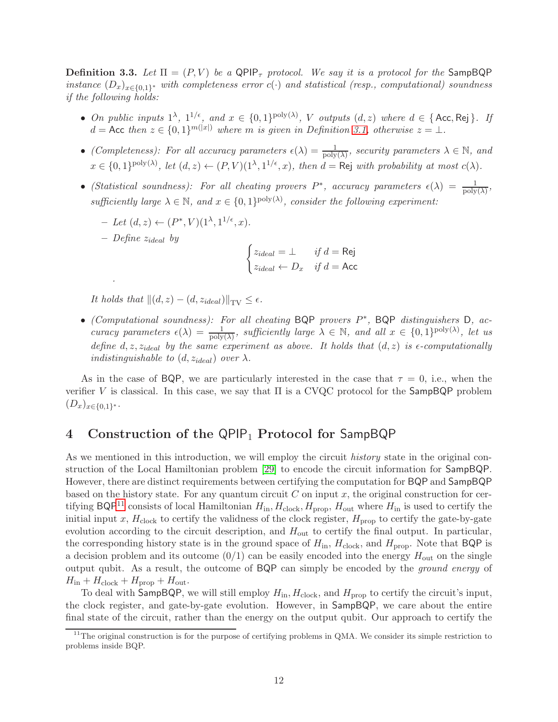**Definition 3.3.** Let  $\Pi = (P, V)$  be a QPIP<sub>T</sub> protocol. We say it is a protocol for the SampBQP instance  $(D_x)_{x\in\{0,1\}^*}$  with completeness error  $c(\cdot)$  and statistical (resp., computational) soundness if the following holds:

- On public inputs  $1^{\lambda}$ ,  $1^{1/\epsilon}$ , and  $x \in \{0,1\}^{\text{poly}(\lambda)}$ , V outputs  $(d, z)$  where  $d \in \{\text{Acc}, \text{Rej}\}\$ . If  $d =$  Acc then  $z \in \{0,1\}^{m(|x|)}$  where m is given in Definition [3.1,](#page-10-3) otherwise  $z = \perp$ .
- (Completeness): For all accuracy parameters  $\epsilon(\lambda) = \frac{1}{\text{poly}(\lambda)}$ , security parameters  $\lambda \in \mathbb{N}$ , and  $x \in \{0,1\}^{\text{poly}(\lambda)}$ , let  $(d,z) \leftarrow (P,V)(1^{\lambda},1^{1/\epsilon},x)$ , then  $d = \text{Rej}$  with probability at most  $c(\lambda)$ .
- (Statistical soundness): For all cheating provers  $P^*$ , accuracy parameters  $\epsilon(\lambda) = \frac{1}{\text{poly}(\lambda)},$ sufficiently large  $\lambda \in \mathbb{N}$ , and  $x \in \{0,1\}^{\text{poly}(\lambda)}$ , consider the following experiment:
	- $-$  Let  $(d, z)$  ←  $(P^*, V)(1^{\lambda}, 1^{1/\epsilon}, x)$ .
	- Define  $z_{ideal}$  by

.

$$
\begin{cases} z_{ideal} = \perp & \text{if } d = \text{Rej} \\ z_{ideal} \leftarrow D_x & \text{if } d = \text{Acc} \end{cases}
$$

It holds that  $||(d, z) - (d, z_{ideal})||_{TV} \leq \epsilon$ .

• (Computational soundness): For all cheating BQP provers  $P^*$ , BQP distinguishers D, accuracy parameters  $\epsilon(\lambda) = \frac{1}{\text{poly}(\lambda)},$  sufficiently large  $\lambda \in \mathbb{N}$ , and all  $x \in \{0,1\}^{\text{poly}(\lambda)},$  let us define d, z,  $z_{ideal}$  by the same experiment as above. It holds that  $(d, z)$  is  $\epsilon$ -computationally indistinguishable to  $(d, z_{ideal})$  over  $\lambda$ .

As in the case of BQP, we are particularly interested in the case that  $\tau = 0$ , i.e., when the verifier V is classical. In this case, we say that  $\Pi$  is a CVQC protocol for the SampBQP problem  $(D_x)_{x \in \{0,1\}^*}.$ 

# <span id="page-11-0"></span>4 Construction of the  $QPIP_1$  Protocol for SampBQP

As we mentioned in this introduction, we will employ the circuit *history* state in the original construction of the Local Hamiltonian problem [\[29\]](#page-28-13) to encode the circuit information for SampBQP. However, there are distinct requirements between certifying the computation for BQP and SampBQP based on the history state. For any quantum circuit  $C$  on input  $x$ , the original construction for certifying  $BQP^{11}$  $BQP^{11}$  $BQP^{11}$  consists of local Hamiltonian  $H_{\text{in}}$ ,  $H_{\text{clock}}$ ,  $H_{\text{prop}}$ ,  $H_{\text{out}}$  where  $H_{\text{in}}$  is used to certify the initial input x,  $H_{\text{clock}}$  to certify the validness of the clock register,  $H_{\text{prop}}$  to certify the gate-by-gate evolution according to the circuit description, and  $H_{\text{out}}$  to certify the final output. In particular, the corresponding history state is in the ground space of  $H_{\text{in}}$ ,  $H_{\text{clock}}$ , and  $H_{\text{prop}}$ . Note that BQP is a decision problem and its outcome  $(0/1)$  can be easily encoded into the energy  $H_{\text{out}}$  on the single output qubit. As a result, the outcome of BQP can simply be encoded by the ground energy of  $H_{\text{in}} + H_{\text{clock}} + H_{\text{prop}} + H_{\text{out}}.$ 

To deal with SampBQP, we will still employ  $H_{\text{in}}$ ,  $H_{\text{clock}}$ , and  $H_{\text{prop}}$  to certify the circuit's input, the clock register, and gate-by-gate evolution. However, in SampBQP, we care about the entire final state of the circuit, rather than the energy on the output qubit. Our approach to certify the

<span id="page-11-1"></span> $11$ The original construction is for the purpose of certifying problems in QMA. We consider its simple restriction to problems inside BQP.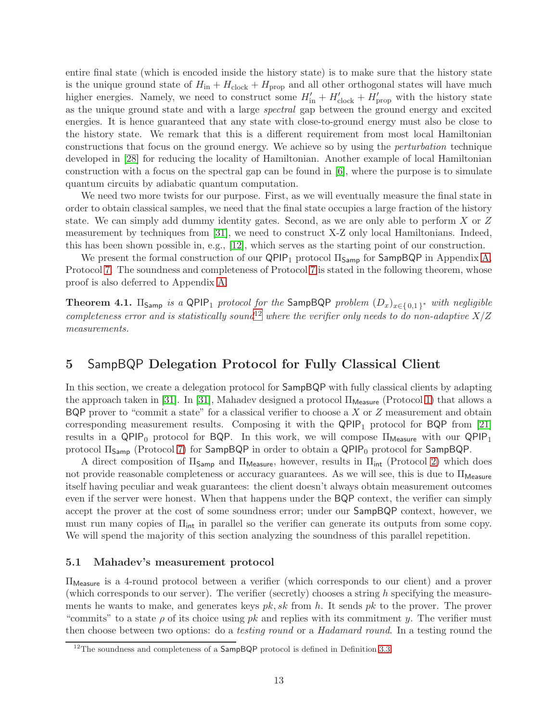entire final state (which is encoded inside the history state) is to make sure that the history state is the unique ground state of  $H_{\text{in}} + H_{\text{clock}} + H_{\text{prop}}$  and all other orthogonal states will have much higher energies. Namely, we need to construct some  $H'_{\text{in}} + H'_{\text{clock}} + H'_{\text{prop}}$  with the history state as the unique ground state and with a large spectral gap between the ground energy and excited energies. It is hence guaranteed that any state with close-to-ground energy must also be close to the history state. We remark that this is a different requirement from most local Hamiltonian constructions that focus on the ground energy. We achieve so by using the perturbation technique developed in [\[28\]](#page-28-14) for reducing the locality of Hamiltonian. Another example of local Hamiltonian construction with a focus on the spectral gap can be found in  $[6]$ , where the purpose is to simulate quantum circuits by adiabatic quantum computation.

We need two more twists for our purpose. First, as we will eventually measure the final state in order to obtain classical samples, we need that the final state occupies a large fraction of the history state. We can simply add dummy identity gates. Second, as we are only able to perform X or Z measurement by techniques from [\[31\]](#page-28-3), we need to construct X-Z only local Hamiltonians. Indeed, this has been shown possible in, e.g., [\[12\]](#page-27-12), which serves as the starting point of our construction.

We present the formal construction of our  $\mathsf{QPIP}_1$  protocol  $\Pi_{\mathsf{Samp}}$  for  $\mathsf{SampBQP}$  in Appendix [A,](#page-29-0) Protocol [7.](#page-34-0) The soundness and completeness of Protocol [7](#page-34-0) is stated in the following theorem, whose proof is also deferred to Appendix [A.](#page-29-0)

<span id="page-12-2"></span>**Theorem 4.1.**  $\Pi_{Samp}$  is a QPIP<sub>1</sub> protocol for the SampBQP problem  $(D_x)_{x \in \{0,1\}^*}$  with negligible completeness error and is statistically sound<sup>[12](#page-12-1)</sup> where the verifier only needs to do non-adaptive  $X/Z$ measurements.

# <span id="page-12-0"></span>5 SampBQP Delegation Protocol for Fully Classical Client

In this section, we create a delegation protocol for SampBQP with fully classical clients by adapting the approach taken in [\[31\]](#page-28-3). In [31], Mahadev designed a protocol  $\Pi_{\text{Measure}}$  (Protocol [1\)](#page-13-0) that allows a BQP prover to "commit a state" for a classical verifier to choose a  $X$  or  $Z$  measurement and obtain corresponding measurement results. Composing it with the  $\mathsf{QPIP}_1$  protocol for B $\mathsf{QP}$  from [\[21\]](#page-27-1) results in a QPIP<sub>0</sub> protocol for BQP. In this work, we will compose  $\Pi_{Measure}$  with our QPIP<sub>1</sub> protocol  $\Pi_{Samp}$  (Protocol [7\)](#page-34-0) for SampBQP in order to obtain a QPIP<sub>0</sub> protocol for SampBQP.

A direct composition of  $\Pi_{\text{Samp}}$  and  $\Pi_{\text{Measure}}$ , however, results in  $\Pi_{\text{int}}$  (Protocol [2\)](#page-14-0) which does not provide reasonable completeness or accuracy guarantees. As we will see, this is due to  $\Pi_{\text{Measure}}$ itself having peculiar and weak guarantees: the client doesn't always obtain measurement outcomes even if the server were honest. When that happens under the BQP context, the verifier can simply accept the prover at the cost of some soundness error; under our SampBQP context, however, we must run many copies of  $\Pi_{int}$  in parallel so the verifier can generate its outputs from some copy. We will spend the majority of this section analyzing the soundness of this parallel repetition.

### 5.1 Mahadev's measurement protocol

ΠMeasure is a 4-round protocol between a verifier (which corresponds to our client) and a prover (which corresponds to our server). The verifier (secretly) chooses a string h specifying the measurements he wants to make, and generates keys  $pk, sk$  from h. It sends  $pk$  to the prover. The prover "commits" to a state  $\rho$  of its choice using pk and replies with its commitment y. The verifier must then choose between two options: do a testing round or a Hadamard round. In a testing round the

<span id="page-12-1"></span> $12$ <sup>12</sup>The soundness and completeness of a **SampBQP** protocol is defined in Definition [3.3.](#page-10-1)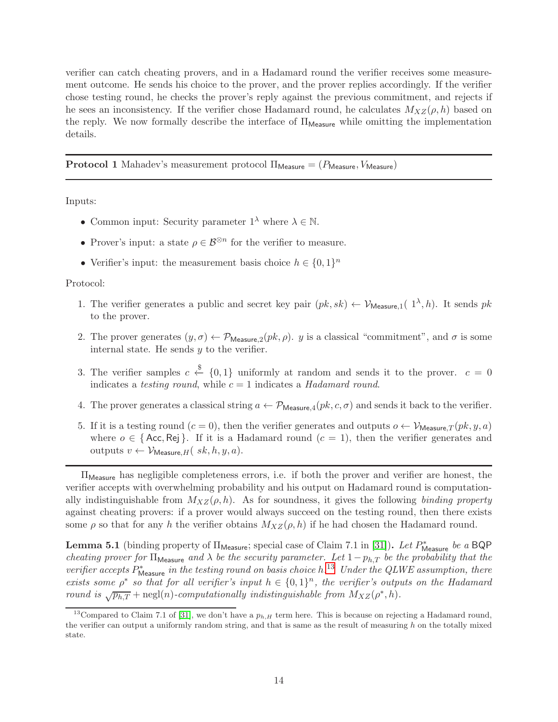verifier can catch cheating provers, and in a Hadamard round the verifier receives some measurement outcome. He sends his choice to the prover, and the prover replies accordingly. If the verifier chose testing round, he checks the prover's reply against the previous commitment, and rejects if he sees an inconsistency. If the verifier chose Hadamard round, he calculates  $M_{XZ}(\rho, h)$  based on the reply. We now formally describe the interface of  $\Pi_{\text{Measure}}$  while omitting the implementation details.

<span id="page-13-0"></span>**Protocol 1** Mahadev's measurement protocol  $\Pi_{Measure} = (P_{Measure}, V_{Measure})$ 

Inputs:

- Common input: Security parameter  $1^{\lambda}$  where  $\lambda \in \mathbb{N}$ .
- Prover's input: a state  $\rho \in \mathcal{B}^{\otimes n}$  for the verifier to measure.
- Verifier's input: the measurement basis choice  $h \in \{0,1\}^n$

#### <span id="page-13-3"></span>Protocol:

- 1. The verifier generates a public and secret key pair  $(pk, sk) \leftarrow \mathcal{V}_{Measure, 1}(1^{\lambda}, h)$ . It sends pk to the prover.
- <span id="page-13-4"></span>2. The prover generates  $(y, \sigma) \leftarrow \mathcal{P}_{Measure, 2}(pk, \rho)$ . y is a classical "commitment", and  $\sigma$  is some internal state. He sends  $y$  to the verifier.
- 3. The verifier samples  $c \stackrel{\$}{\leftarrow} \{0,1\}$  uniformly at random and sends it to the prover.  $c = 0$ indicates a *testing round*, while  $c = 1$  indicates a *Hadamard round*.
- <span id="page-13-5"></span>4. The prover generates a classical string  $a \leftarrow \mathcal{P}_{\text{Measure},4}(pk, c, \sigma)$  and sends it back to the verifier.
- 5. If it is a testing round  $(c = 0)$ , then the verifier generates and outputs  $o \leftarrow \mathcal{V}_{Measure,T}(pk, y, a)$ where  $o \in \{$  Acc, Rej  $\}$ . If it is a Hadamard round  $(c = 1)$ , then the verifier generates and outputs  $v \leftarrow \mathcal{V}_{Measure, H}(sk, h, y, a)$ .

ΠMeasure has negligible completeness errors, i.e. if both the prover and verifier are honest, the verifier accepts with overwhelming probability and his output on Hadamard round is computationally indistinguishable from  $M_{XZ}(\rho, h)$ . As for soundness, it gives the following binding property against cheating provers: if a prover would always succeed on the testing round, then there exists some  $\rho$  so that for any h the verifier obtains  $M_{XZ}(\rho, h)$  if he had chosen the Hadamard round.

<span id="page-13-2"></span>**Lemma 5.1** (binding property of  $\Pi_{\text{Measure}}$ ; special case of Claim 7.1 in [\[31\]](#page-28-3)). Let  $P_{\text{Measure}}^*$  be a BQP cheating prover for  $\Pi_{\text{Measure}}$  and  $\lambda$  be the security parameter. Let  $1-p_{h,T}$  be the probability that the verifier accepts  $P_{\text{Measure}}^*$  in the testing round on basis choice h.<sup>[13](#page-13-1)</sup> Under the QLWE assumption, there exists some  $\rho^*$  so that for all verifier's input  $h \in \{0,1\}^n$ , the verifier's outputs on the Hadamard round is  $\sqrt{p_{h,T}} + \text{negl}(n)$ -computationally indistinguishable from  $M_{XZ}(\rho^*, h)$ .

<span id="page-13-1"></span><sup>&</sup>lt;sup>13</sup>Compared to Claim 7.1 of [\[31\]](#page-28-3), we don't have a  $p_{h,H}$  term here. This is because on rejecting a Hadamard round, the verifier can output a uniformly random string, and that is same as the result of measuring h on the totally mixed state.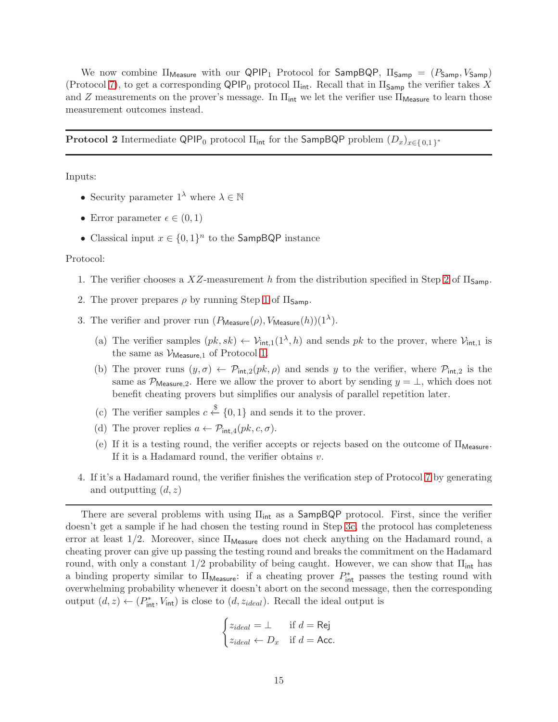We now combine  $\Pi_{\text{Measure}}$  with our  $\text{QPIP}_1$  Protocol for SampBQP,  $\Pi_{\text{Samp}} = (P_{\text{Samp}}, V_{\text{Samp}})$ (Protocol [7\)](#page-34-0), to get a corresponding  $\mathsf{QPIP}_0$  protocol  $\Pi_{\mathsf{int}}$ . Recall that in  $\Pi_{\mathsf{Samp}}$  the verifier takes X and Z measurements on the prover's message. In  $\Pi_{int}$  we let the verifier use  $\Pi_{Measure}$  to learn those measurement outcomes instead.

<span id="page-14-0"></span>**Protocol 2** Intermediate QPIP<sub>0</sub> protocol  $\Pi_{\mathsf{int}}$  for the SampBQP problem  $(D_x)_{x \in \{0,1\}^*}$ 

Inputs:

- Security parameter  $1^{\lambda}$  where  $\lambda \in \mathbb{N}$
- Error parameter  $\epsilon \in (0,1)$
- Classical input  $x \in \{0,1\}^n$  to the SampBQP instance

#### <span id="page-14-3"></span>Protocol:

- <span id="page-14-4"></span>1. The verifier chooses a XZ-measurement h from the distribution specified in Step [2](#page-34-1) of  $\Pi_{\text{Samp}}$ .
- <span id="page-14-2"></span>2. The prover prepares  $\rho$  by running Step [1](#page-34-2) of  $\Pi_{Samp}$ .
- <span id="page-14-1"></span>3. The verifier and prover run  $(P_{\text{Measure}}(\rho), V_{\text{Measure}}(h))(1^{\lambda}).$ 
	- (a) The verifier samples  $(pk, sk) \leftarrow \mathcal{V}_{int,1}(1^{\lambda}, h)$  and sends pk to the prover, where  $\mathcal{V}_{int,1}$  is the same as  $V_{\text{Measure},1}$  of Protocol [1.](#page-13-0)
	- (b) The prover runs  $(y, \sigma) \leftarrow \mathcal{P}_{\text{int},2}(pk, \rho)$  and sends y to the verifier, where  $\mathcal{P}_{\text{int},2}$  is the same as  $\mathcal{P}_{\text{Measure},2}$ . Here we allow the prover to abort by sending  $y = \perp$ , which does not benefit cheating provers but simplifies our analysis of parallel repetition later.
	- (c) The verifier samples  $c \stackrel{\$}{\leftarrow} \{0,1\}$  and sends it to the prover.
	- (d) The prover replies  $a \leftarrow \mathcal{P}_{\text{int},4}(pk, c, \sigma)$ .
	- (e) If it is a testing round, the verifier accepts or rejects based on the outcome of  $\Pi_{\text{Measure}}$ . If it is a Hadamard round, the verifier obtains  $v$ .
- <span id="page-14-5"></span>4. If it's a Hadamard round, the verifier finishes the verification step of Protocol [7](#page-34-0) by generating and outputting  $(d, z)$

$$
\begin{cases} z_{ideal} = \perp & \text{if } d = \text{Rej} \\ z_{ideal} \leftarrow D_x & \text{if } d = \text{Acc.} \end{cases}
$$

There are several problems with using  $\Pi_{int}$  as a SampBQP protocol. First, since the verifier doesn't get a sample if he had chosen the testing round in Step [3c,](#page-14-1) the protocol has completeness error at least  $1/2$ . Moreover, since  $\Pi_{\text{Measure}}$  does not check anything on the Hadamard round, a cheating prover can give up passing the testing round and breaks the commitment on the Hadamard round, with only a constant  $1/2$  probability of being caught. However, we can show that  $\Pi_{int}$  has a binding property similar to  $\Pi_{\text{Measure}}$ : if a cheating prover  $P_{\text{int}}^*$  passes the testing round with overwhelming probability whenever it doesn't abort on the second message, then the corresponding output  $(d, z) \leftarrow (P_{\text{int}}^*, V_{\text{int}})$  is close to  $(d, z_{ideal})$ . Recall the ideal output is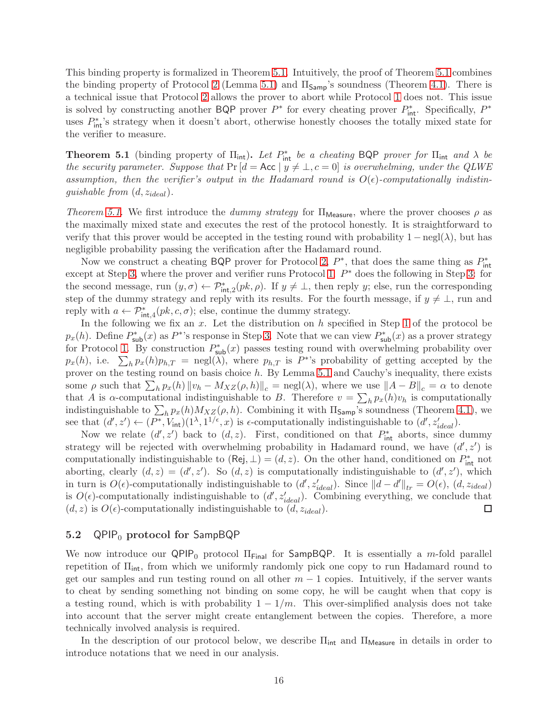This binding property is formalized in Theorem [5.1.](#page-15-0) Intuitively, the proof of Theorem [5.1](#page-15-0) combines the binding property of Protocol [2](#page-14-0) (Lemma [5.1\)](#page-13-2) and  $\Pi_{\text{Samp}}$ 's soundness (Theorem [4.1\)](#page-12-2). There is a technical issue that Protocol [2](#page-14-0) allows the prover to abort while Protocol [1](#page-13-0) does not. This issue is solved by constructing another BQP prover  $P^*$  for every cheating prover  $P_{\text{int}}^*$ . Specifically,  $P^*$ uses  $P_{\text{int}}^{*}$ 's strategy when it doesn't abort, otherwise honestly chooses the totally mixed state for the verifier to measure.

<span id="page-15-0"></span>**Theorem 5.1** (binding property of  $\Pi_{int}$ ). Let  $P_{int}^{*}$  be a cheating BQP prover for  $\Pi_{int}$  and  $\lambda$  be the security parameter. Suppose that  $Pr[d = Acc | y \neq \bot, c = 0]$  is overwhelming, under the QLWE assumption, then the verifier's output in the Hadamard round is  $O(\epsilon)$ -computationally indistinguishable from  $(d, z_{ideal})$ .

Theorem [5.1.](#page-15-0) We first introduce the dummy strategy for  $\Pi_{\text{Measure}}$ , where the prover chooses  $\rho$  as the maximally mixed state and executes the rest of the protocol honestly. It is straightforward to verify that this prover would be accepted in the testing round with probability  $1-\text{negl}(\lambda)$ , but has negligible probability passing the verification after the Hadamard round.

Now we construct a cheating BQP prover for Protocol [2,](#page-14-0)  $P^*$ , that does the same thing as  $P_{\text{int}}^*$ except at Step [3,](#page-14-2) where the prover and verifier runs Protocol [1.](#page-13-0)  $P^*$  does the following in Step [3:](#page-14-2) for the second message, run  $(y, \sigma) \leftarrow \mathcal{P}_{\mathsf{int},2}^*(pk, \rho)$ . If  $y \neq \bot$ , then reply y; else, run the corresponding step of the dummy strategy and reply with its results. For the fourth message, if  $y \neq \bot$ , run and reply with  $a \leftarrow \mathcal{P}_{\mathsf{int},4}^*(pk, c, \sigma)$ ; else, continue the dummy strategy.

In the following we fix an  $x$ . Let the distribution on  $h$  specified in Step [1](#page-14-3) of the protocol be  $p_x(h)$ . Define  $P_{sub}^*(x)$  as  $P^*$ 's response in Step [3.](#page-14-2) Note that we can view  $P_{sub}^*(x)$  as a prover strategy for Protocol [1.](#page-13-0) By construction  $P_{sub}^*(x)$  passes testing round with overwhelming probability over  $p_x(h)$ , i.e.  $\sum_h p_x(h)p_{h,T} = \text{negl}(\lambda)$ , where  $p_{h,T}$  is  $P^{**}$ 's probability of getting accepted by the prover on the testing round on basis choice  $h$ . By Lemma [5.1](#page-13-2) and Cauchy's inequality, there exists some  $\rho$  such that  $\sum_h p_x(h) ||v_h - M_{XZ}(\rho, h)||_c = \text{negl}(\lambda)$ , where we use  $||A - B||_c = \alpha$  to denote that A is  $\alpha$ -computational indistinguishable to B. Therefore  $v = \sum_h p_x(h)v_h$  is computationally indistinguishable to  $\sum_h p_x(h) M_{XZ}(\rho, h)$ . Combining it with  $\Pi_{\mathsf{Samp}}$ 's soundness (Theorem [4.1\)](#page-12-2), we see that  $(d', z') \leftarrow (P^*, V_{\text{int}})(1^{\lambda}, 1^{1/\epsilon}, x)$  is  $\epsilon$ -computationally indistinguishable to  $(d', z'_{ideal})$ .

Now we relate  $(d', z')$  back to  $(d, z)$ . First, conditioned on that  $P_{\text{int}}^*$  aborts, since dummy strategy will be rejected with overwhelming probability in Hadamard round, we have  $(d', z')$  is computationally indistinguishable to  $(Rej, \perp) = (d, z)$ . On the other hand, conditioned on  $P_{\text{int}}^*$  not aborting, clearly  $(d, z) = (d', z')$ . So  $(d, z)$  is computationally indistinguishable to  $(d', z')$ , which in turn is  $O(\epsilon)$ -computationally indistinguishable to  $(d', z'_{ideal})$ . Since  $||d - d'||_{tr} = O(\epsilon)$ ,  $(d, z_{ideal})$ is  $O(\epsilon)$ -computationally indistinguishable to  $(d', z'_{ideal})$ . Combining everything, we conclude that  $(d, z)$  is  $O(\epsilon)$ -computationally indistinguishable to  $(d, z_{ideal})$ .  $\Box$ 

#### 5.2  $QPIP_0$  protocol for SampBQP

We now introduce our QPIP<sub>0</sub> protocol  $\Pi_{\text{Final}}$  for SampBQP. It is essentially a m-fold parallel repetition of Πint, from which we uniformly randomly pick one copy to run Hadamard round to get our samples and run testing round on all other  $m-1$  copies. Intuitively, if the server wants to cheat by sending something not binding on some copy, he will be caught when that copy is a testing round, which is with probability  $1 - 1/m$ . This over-simplified analysis does not take into account that the server might create entanglement between the copies. Therefore, a more technically involved analysis is required.

In the description of our protocol below, we describe  $\Pi_{int}$  and  $\Pi_{Measure}$  in details in order to introduce notations that we need in our analysis.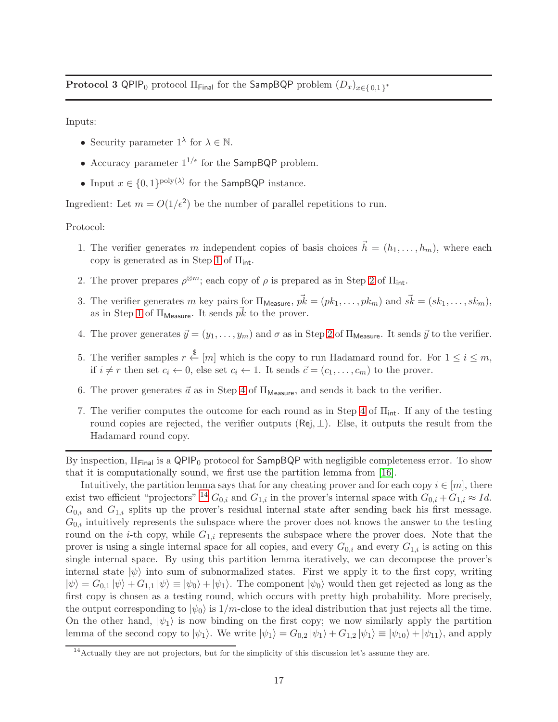<span id="page-16-5"></span>**Protocol 3** QPIP<sub>0</sub> protocol  $\Pi_{\mathsf{Final}}$  for the  $\mathsf{SampleQP}$  problem  $(D_x)_{x \in \{0,1\}^*}$ 

Inputs:

- Security parameter  $1^{\lambda}$  for  $\lambda \in \mathbb{N}$ .
- Accuracy parameter  $1^{1/\epsilon}$  for the SampBQP problem.
- Input  $x \in \{0,1\}^{\text{poly}(\lambda)}$  for the SampBQP instance.

Ingredient: Let  $m = O(1/\epsilon^2)$  be the number of parallel repetitions to run.

#### Protocol:

- 1. The verifier generates m independent copies of basis choices  $\vec{h} = (h_1, \ldots, h_m)$ , where each copy is generated as in Step [1](#page-14-3) of  $\Pi_{\text{int}}$ .
- <span id="page-16-1"></span>2. The prover prepares  $\rho^{\otimes m}$ ; each copy of  $\rho$  is prepared as in Step [2](#page-14-4) of  $\Pi_{\text{int}}$ .
- 3. The verifier generates m key pairs for  $\Pi_{\text{Measure}}, \vec{pk} = (pk_1, \dots, pk_m)$  and  $\vec{sk} = (sk_1, \dots, sk_m)$ , as in Step [1](#page-13-3) of  $\Pi_{\text{Measure}}$ . It sends  $pk$  to the prover.
- <span id="page-16-3"></span><span id="page-16-2"></span>4. The prover generates  $\vec{y} = (y_1, \ldots, y_m)$  and  $\sigma$  as in Step [2](#page-13-4) of  $\Pi_{\text{Measure}}$ . It sends  $\vec{y}$  to the verifier.
- 5. The verifier samples  $r \stackrel{\$}{\leftarrow} [m]$  which is the copy to run Hadamard round for. For  $1 \le i \le m$ , if  $i \neq r$  then set  $c_i \leftarrow 0$ , else set  $c_i \leftarrow 1$ . It sends  $\vec{c} = (c_1, \ldots, c_m)$  to the prover.
- <span id="page-16-4"></span>6. The prover generates  $\vec{a}$  as in Step [4](#page-13-5) of  $\Pi_{\text{Measure}}$ , and sends it back to the verifier.
- 7. The verifier computes the outcome for each round as in Step [4](#page-14-5) of  $\Pi_{int}$ . If any of the testing round copies are rejected, the verifier outputs (Rej,  $\perp$ ). Else, it outputs the result from the Hadamard round copy.

By inspection,  $\Pi$ <sub>Final</sub> is a QPIP<sub>0</sub> protocol for SampBQP with negligible completeness error. To show that it is computationally sound, we first use the partition lemma from [\[16\]](#page-27-4).

Intuitively, the partition lemma says that for any cheating prover and for each copy  $i \in [m]$ , there exist two efficient "projectors" <sup>[14](#page-16-0)</sup>  $G_{0,i}$  and  $G_{1,i}$  in the prover's internal space with  $G_{0,i} + G_{1,i} \approx Id$ .  $G_{0,i}$  and  $G_{1,i}$  splits up the prover's residual internal state after sending back his first message.  $G_{0,i}$  intuitively represents the subspace where the prover does not knows the answer to the testing round on the *i*-th copy, while  $G_{1,i}$  represents the subspace where the prover does. Note that the prover is using a single internal space for all copies, and every  $G_{0,i}$  and every  $G_{1,i}$  is acting on this single internal space. By using this partition lemma iteratively, we can decompose the prover's internal state  $|\psi\rangle$  into sum of subnormalized states. First we apply it to the first copy, writing  $|\psi\rangle = G_{0,1} |\psi\rangle + G_{1,1} |\psi\rangle \equiv |\psi_0\rangle + |\psi_1\rangle$ . The component  $|\psi_0\rangle$  would then get rejected as long as the first copy is chosen as a testing round, which occurs with pretty high probability. More precisely, the output corresponding to  $|\psi_0\rangle$  is  $1/m$ -close to the ideal distribution that just rejects all the time. On the other hand,  $|\psi_1\rangle$  is now binding on the first copy; we now similarly apply the partition lemma of the second copy to  $|\psi_1\rangle$ . We write  $|\psi_1\rangle = G_{0,2} |\psi_1\rangle + G_{1,2} |\psi_1\rangle \equiv |\psi_{10}\rangle + |\psi_{11}\rangle$ , and apply

<span id="page-16-0"></span><sup>&</sup>lt;sup>14</sup>Actually they are not projectors, but for the simplicity of this discussion let's assume they are.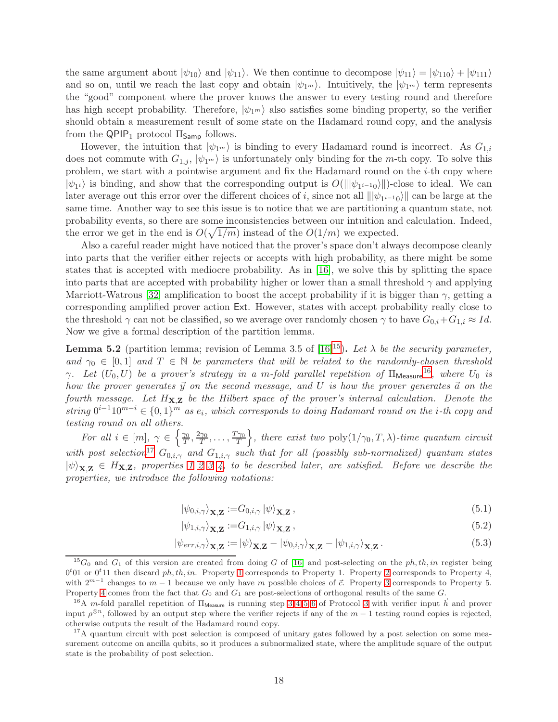the same argument about  $|\psi_{10}\rangle$  and  $|\psi_{11}\rangle$ . We then continue to decompose  $|\psi_{11}\rangle = |\psi_{110}\rangle + |\psi_{111}\rangle$ and so on, until we reach the last copy and obtain  $|\psi_{1m}\rangle$ . Intuitively, the  $|\psi_{1m}\rangle$  term represents the "good" component where the prover knows the answer to every testing round and therefore has high accept probability. Therefore,  $|\psi_{1m}\rangle$  also satisfies some binding property, so the verifier should obtain a measurement result of some state on the Hadamard round copy, and the analysis from the  $\mathsf{QPIP}_1$  protocol  $\Pi_{\mathsf{Samp}}$  follows.

However, the intuition that  $|\psi_{1^m}\rangle$  is binding to every Hadamard round is incorrect. As  $G_{1,i}$ does not commute with  $G_{1,j}$ ,  $|\psi_{1m}\rangle$  is unfortunately only binding for the m-th copy. To solve this problem, we start with a pointwise argument and fix the Hadamard round on the i-th copy where  $|\psi_{1i}\rangle$  is binding, and show that the corresponding output is  $O(|||\psi_{1i-10}\rangle||)$ -close to ideal. We can later average out this error over the different choices of i, since not all  $\|\psi_{1^{i-1}0}\|\|$  can be large at the same time. Another way to see this issue is to notice that we are partitioning a quantum state, not probability events, so there are some inconsistencies between our intuition and calculation. Indeed, the error we get in the end is  $O(\sqrt{1/m})$  instead of the  $O(1/m)$  we expected.

Also a careful reader might have noticed that the prover's space don't always decompose cleanly into parts that the verifier either rejects or accepts with high probability, as there might be some states that is accepted with mediocre probability. As in [\[16\]](#page-27-4), we solve this by splitting the space into parts that are accepted with probability higher or lower than a small threshold  $\gamma$  and applying Marriott-Watrous [\[32\]](#page-28-15) amplification to boost the accept probability if it is bigger than  $\gamma$ , getting a corresponding amplified prover action Ext. However, states with accept probability really close to the threshold  $\gamma$  can not be classified, so we average over randomly chosen  $\gamma$  to have  $G_{0,i}+G_{1,i} \approx Id$ . Now we give a formal description of the partition lemma.

<span id="page-17-3"></span>**Lemma 5.2** (partition lemma; revision of Lemma 3.5 of [\[16\]](#page-27-4)<sup>[15](#page-17-0)</sup>). Let  $\lambda$  be the security parameter, and  $\gamma_0 \in [0,1]$  and  $T \in \mathbb{N}$  be parameters that will be related to the randomly-chosen threshold  $\gamma$ . Let  $(U_0, U)$  be a prover's strategy in a m-fold parallel repetition of  $\Pi_{\text{Measure}}^{16}$  $\Pi_{\text{Measure}}^{16}$  $\Pi_{\text{Measure}}^{16}$ , where  $U_0$  is how the prover generates  $\vec{y}$  on the second message, and U is how the prover generates  $\vec{a}$  on the fourth message. Let  $H_{\mathbf{X},\mathbf{Z}}$  be the Hilbert space of the prover's internal calculation. Denote the string  $0^{i-1}10^{m-i} \in \{0,1\}^m$  as  $e_i$ , which corresponds to doing Hadamard round on the *i*-th copy and testing round on all others.

For all  $i \in [m], \gamma \in \left\{\frac{\gamma_0}{T}\right\}$  $\frac{\gamma_0}{T}, \frac{2\gamma_0}{T}$  $\frac{T\gamma_0}{T},\ldots,\frac{T\gamma_0}{T}$ T  $\},$  there exist two poly $(1/\gamma_0, T, \lambda)$ -time quantum circuit with post selection<sup>[17](#page-17-2)</sup>  $G_{0,i,\gamma}$  and  $G_{1,i,\gamma}$  such that for all (possibly sub-normalized) quantum states  $|\psi\rangle_{\mathbf{X}\mathbf{Z}} \in H_{\mathbf{X},\mathbf{Z}}$ , properties [1](#page-18-0) [2](#page-18-1) [3](#page-18-2) [4,](#page-18-3) to be described later, are satisfied. Before we describe the properties, we introduce the following notations:

<span id="page-17-4"></span>
$$
|\psi_{0,i,\gamma}\rangle_{\mathbf{X},\mathbf{Z}} := G_{0,i,\gamma} |\psi\rangle_{\mathbf{X},\mathbf{Z}},
$$
\n(5.1)

<span id="page-17-5"></span>
$$
|\psi_{1,i,\gamma}\rangle_{\mathbf{X},\mathbf{Z}} := G_{1,i,\gamma} |\psi\rangle_{\mathbf{X},\mathbf{Z}},
$$
\n(5.2)

$$
|\psi_{err,i,\gamma}\rangle_{\mathbf{X},\mathbf{Z}} := |\psi\rangle_{\mathbf{X},\mathbf{Z}} - |\psi_{0,i,\gamma}\rangle_{\mathbf{X},\mathbf{Z}} - |\psi_{1,i,\gamma}\rangle_{\mathbf{X},\mathbf{Z}}.
$$
\n(5.3)

<span id="page-17-0"></span><sup>&</sup>lt;sup>15</sup> $G_0$  and  $G_1$  of this version are created from doing G of [\[16\]](#page-27-4) and post-selecting on the ph, th, in register being  $0<sup>t</sup>01$  or  $0<sup>t</sup>11$  then discard ph, th, in. Property [1](#page-18-0) corresponds to Property 1. Property [2](#page-18-1) corresponds to Property 4, with  $2^{m-1}$  changes to  $m-1$  because we only have m possible choices of  $\vec{c}$ . Property [3](#page-18-2) corresponds to Property 5. Property [4](#page-18-3) comes from the fact that  $G_0$  and  $G_1$  are post-selections of orthogonal results of the same  $G$ .

<span id="page-17-1"></span><sup>&</sup>lt;sup>16</sup>A m-fold parallel repetition of  $\Pi_{\text{Measure}}$  is running step [3](#page-16-5) [4](#page-16-2) [5](#page-16-3) [6](#page-16-4) of Protocol 3 with verifier input  $\vec{h}$  and prover input  $\rho^{\otimes n}$ , followed by an output step where the verifier rejects if any of the  $m-1$  testing round copies is rejected, otherwise outputs the result of the Hadamard round copy.

<span id="page-17-2"></span><sup>&</sup>lt;sup>17</sup>A quantum circuit with post selection is composed of unitary gates followed by a post selection on some measurement outcome on ancilla qubits, so it produces a subnormalized state, where the amplitude square of the output state is the probability of post selection.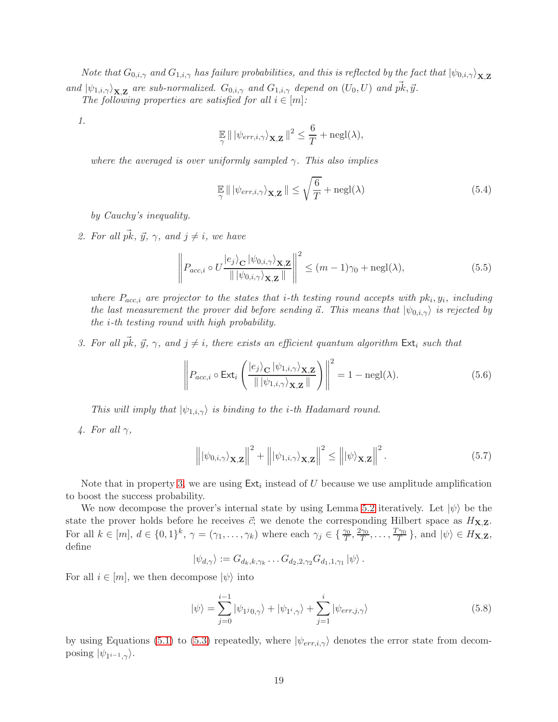Note that  $G_{0,i,\gamma}$  and  $G_{1,i,\gamma}$  has failure probabilities, and this is reflected by the fact that  $|\psi_{0,i,\gamma}\rangle_{\mathbf{X},\mathbf{Z}}$ and  $|\psi_{1,i,\gamma}\rangle_{\mathbf{X},\mathbf{Z}}$  are sub-normalized.  $G_{0,i,\gamma}$  and  $G_{1,i,\gamma}$  depend on  $(U_0, U)$  and  $\vec{pk}, \vec{y}$ .

<span id="page-18-0"></span>The following properties are satisfied for all  $i \in [m]$ :

1.

$$
\mathop{\mathbb{E}}_\gamma \|\, |\psi_{err,i,\gamma}\rangle_{\mathbf{X},\mathbf{Z}}\|^2 \leq \frac{6}{T} + \mathrm{negl}(\lambda),
$$

where the averaged is over uniformly sampled  $\gamma$ . This also implies

$$
\mathbb{E}_{\gamma} \|\|\psi_{err,i,\gamma}\rangle_{\mathbf{X},\mathbf{Z}}\| \le \sqrt{\frac{6}{T}} + \text{negl}(\lambda)
$$
\n(5.4)

by Cauchy's inequality.

<span id="page-18-1"></span>2. For all  $\vec{pk}$ ,  $\vec{y}$ ,  $\gamma$ , and  $j \neq i$ , we have

$$
\left\| P_{acc,i} \circ U \frac{|e_j\rangle_{\mathbf{C}} |\psi_{0,i,\gamma}\rangle_{\mathbf{X},\mathbf{Z}}}{\| |\psi_{0,i,\gamma}\rangle_{\mathbf{X},\mathbf{Z}} \|} \right\|^2 \leq (m-1)\gamma_0 + \operatorname{negl}(\lambda), \tag{5.5}
$$

where  $P_{acc,i}$  are projector to the states that *i*-th testing round accepts with  $pk_i, y_i$ , including the last measurement the prover did before sending  $\vec{a}$ . This means that  $|\psi_{0,i,\gamma}\rangle$  is rejected by the i-th testing round with high probability.

<span id="page-18-2"></span>3. For all  $\vec{pk}$ ,  $\vec{y}$ ,  $\gamma$ , and  $j \neq i$ , there exists an efficient quantum algorithm Ext<sub>i</sub> such that

$$
\left\| P_{acc,i} \circ \text{Ext}_{i} \left( \frac{|e_{j} \rangle_{\mathbf{C}} |\psi_{1,i,\gamma} \rangle_{\mathbf{X},\mathbf{Z}}}{\| |\psi_{1,i,\gamma} \rangle_{\mathbf{X},\mathbf{Z}} \|} \right) \right\|^{2} = 1 - \text{negl}(\lambda). \tag{5.6}
$$

This will imply that  $|\psi_{1,i,\gamma}\rangle$  is binding to the *i*-th Hadamard round.

<span id="page-18-3"></span>4. For all  $\gamma$ ,

$$
\left\| |\psi_{0,i,\gamma} \rangle_{\mathbf{X},\mathbf{Z}} \right\|^2 + \left\| |\psi_{1,i,\gamma} \rangle_{\mathbf{X},\mathbf{Z}} \right\|^2 \le \left\| |\psi \rangle_{\mathbf{X},\mathbf{Z}} \right\|^2. \tag{5.7}
$$

Note that in property [3,](#page-18-2) we are using  $\textsf{Ext}_i$  instead of U because we use amplitude amplification to boost the success probability.

We now decompose the prover's internal state by using Lemma [5.2](#page-17-3) iteratively. Let  $|\psi\rangle$  be the state the prover holds before he receives  $\vec{c}$ ; we denote the corresponding Hilbert space as  $H_{\mathbf{X},\mathbf{Z}}$ . For all  $k \in [m], d \in \{0,1\}^k$ ,  $\gamma = (\gamma_1, \ldots, \gamma_k)$  where each  $\gamma_j \in \{\frac{\gamma_0}{T}, \frac{2\gamma_0}{T}\}$  $\frac{T\gamma_0}{T}, \ldots, \frac{T\gamma_0}{T}$  $\frac{\gamma_0}{T}$ , and  $|\psi\rangle \in H_{\mathbf{X},\mathbf{Z}},$ define

$$
|\psi_{d,\gamma}\rangle := G_{d_k,k,\gamma_k}\dots G_{d_2,2,\gamma_2} G_{d_1,1,\gamma_1} |\psi\rangle.
$$

For all  $i \in [m]$ , we then decompose  $|\psi\rangle$  into

<span id="page-18-4"></span>
$$
|\psi\rangle = \sum_{j=0}^{i-1} |\psi_{1^j 0, \gamma}\rangle + |\psi_{1^i, \gamma}\rangle + \sum_{j=1}^i |\psi_{err, j, \gamma}\rangle
$$
 (5.8)

by using Equations [\(5.1\)](#page-17-4) to [\(5.3\)](#page-17-5) repeatedly, where  $|\psi_{err,i,\gamma}\rangle$  denotes the error state from decomposing  $|\psi_{1^{i-1},\gamma}\rangle$ .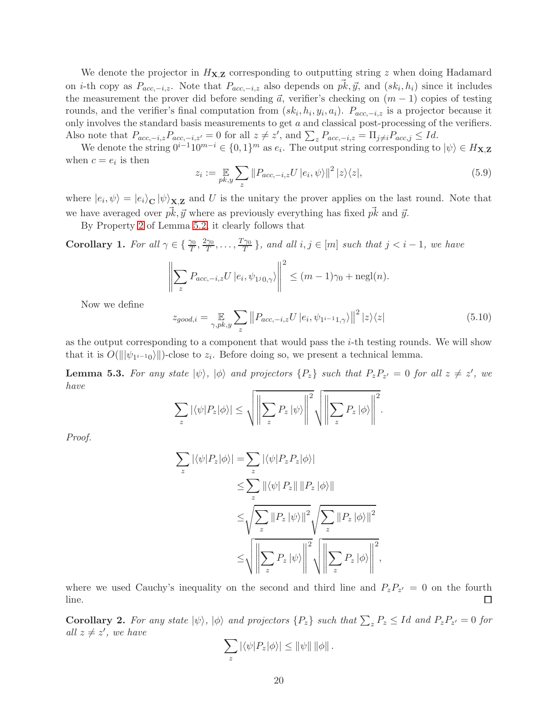We denote the projector in  $H_{\mathbf{X},\mathbf{Z}}$  corresponding to outputting string z when doing Hadamard on *i*-th copy as  $P_{acc,-i,z}$ . Note that  $P_{acc,-i,z}$  also depends on  $\vec{pk}, \vec{y}$ , and  $(sk_i, h_i)$  since it includes the measurement the prover did before sending  $\vec{a}$ , verifier's checking on  $(m - 1)$  copies of testing rounds, and the verifier's final computation from  $(sk_i, h_i, y_i, a_i)$ .  $P_{acc,-i,z}$  is a projector because it only involves the standard basis measurements to get  $a$  and classical post-processing of the verifiers. Also note that  $P_{acc,-i,z}P_{acc,-i,z'} = 0$  for all  $z \neq z'$ , and  $\sum_{z} P_{acc,-i,z} = \prod_{j \neq i} P_{acc,j} \leq Id$ .

We denote the string  $0^{i-1}10^{m-i} \in \{0,1\}^m$  as  $e_i$ . The output string corresponding to  $|\psi\rangle \in H_{\mathbf{X},\mathbf{Z}}$ when  $c = e_i$  is then

<span id="page-19-0"></span>
$$
z_i := \mathop{\mathbb{E}}\limits_{p k, y} \sum\limits_{z} \| P_{acc, -i, z} U \, |e_i, \psi \rangle \|^2 \, |z\rangle \langle z|,\tag{5.9}
$$

where  $|e_i, \psi\rangle = |e_i\rangle_{\mathbf{C}} |\psi\rangle_{\mathbf{X},\mathbf{Z}}$  and U is the unitary the prover applies on the last round. Note that we have averaged over  $\vec{pk}, \vec{y}$  where as previously everything has fixed  $\vec{pk}$  and  $\vec{y}$ .

<span id="page-19-3"></span>By Property [2](#page-18-1) of Lemma [5.2,](#page-17-3) it clearly follows that

Corollary 1. For all  $\gamma \in \{\frac{\gamma_0}{T}, \frac{2\gamma_0}{T}\}$  $\frac{T\gamma_0}{T},\ldots,\frac{T\gamma_0}{T}$  $\frac{\gamma_0}{T}$ , and all  $i, j \in [m]$  such that  $j < i - 1$ , we have

$$
\left\| \sum_{z} P_{acc, -i, z} U \left| e_i, \psi_{1^j 0, \gamma} \right| \right\|^2 \le (m - 1)\gamma_0 + \operatorname{negl}(n).
$$

Now we define

$$
z_{good,i} = \mathop{\mathbb{E}}\limits_{\gamma, pk, y} \sum_{z} ||P_{acc, -i, z} U| e_i, \psi_{1^{i-1}1, \gamma} ||^2 |z\rangle\langle z|
$$
 (5.10)

<span id="page-19-2"></span>as the output corresponding to a component that would pass the i-th testing rounds. We will show that it is  $O(||\psi_{1^{i-1}0}||)$ -close to  $z_i$ . Before doing so, we present a technical lemma.

**Lemma 5.3.** For any state  $|\psi\rangle$ ,  $|\phi\rangle$  and projectors  $\{P_z\}$  such that  $P_zP_{z'}=0$  for all  $z\neq z'$ , we have

$$
\sum_{z} |\langle \psi | P_z | \phi \rangle| \leq \sqrt{\left\| \sum_{z} P_z \left| \psi \right\rangle \right\|^2} \sqrt{\left\| \sum_{z} P_z \left| \phi \right\rangle \right\|^2}.
$$

Proof.

$$
\sum_{z} |\langle \psi | P_z | \phi \rangle| = \sum_{z} |\langle \psi | P_z P_z | \phi \rangle|
$$
  
\n
$$
\leq \sum_{z} ||\langle \psi | P_z || || P_z | \phi \rangle||
$$
  
\n
$$
\leq \sqrt{\sum_{z} ||P_z | \psi \rangle ||^2} \sqrt{\sum_{z} ||P_z | \phi \rangle ||^2}
$$
  
\n
$$
\leq \sqrt{\left\| \sum_{z} P_z | \psi \rangle \right\| ^2} \sqrt{\left\| \sum_{z} P_z | \phi \rangle \right\| ^2},
$$

where we used Cauchy's inequality on the second and third line and  $P_z P_{z'} = 0$  on the fourth line.  $\Box$ 

<span id="page-19-1"></span>**Corollary 2.** For any state  $|\psi\rangle$ ,  $|\phi\rangle$  and projectors  $\{P_z\}$  such that  $\sum_z P_z \leq Id$  and  $P_zP_{z'} = 0$  for all  $z \neq z'$ , we have

$$
\sum_{z} |\langle \psi | P_z | \phi \rangle| \le ||\psi|| \, ||\phi|| \, .
$$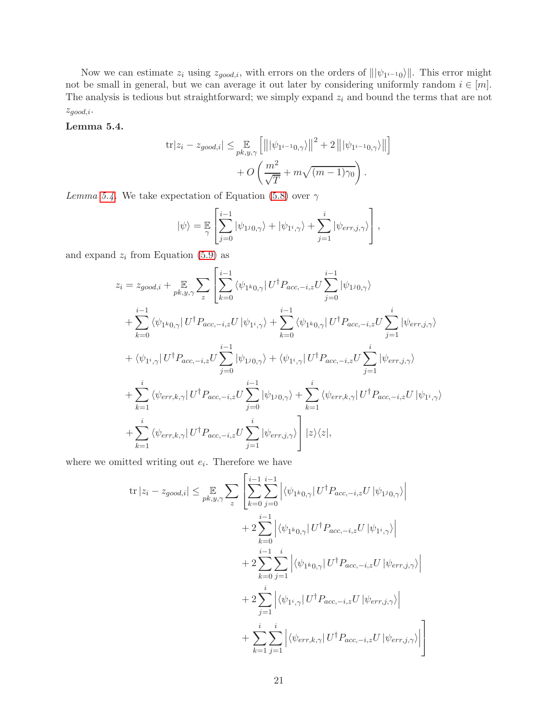Now we can estimate  $z_i$  using  $z_{good,i}$ , with errors on the orders of  $\|\psi_{1^{i-1}0}\|$ . This error might not be small in general, but we can average it out later by considering uniformly random  $i \in [m]$ . The analysis is tedious but straightforward; we simply expand  $z_i$  and bound the terms that are not  $z_{good,i}.$ 

#### <span id="page-20-0"></span>Lemma 5.4.

tr
$$
|z_i - z_{good,i}| \leq \mathbb{E}_{pk,y,\gamma} \left[ |||\psi_{1^{i-1}0,\gamma}\rangle||^2 + 2 |||\psi_{1^{i-1}0,\gamma}\rangle|| \right]
$$
  
+  $O\left(\frac{m^2}{\sqrt{T}} + m\sqrt{(m-1)\gamma_0}\right)$ .

Lemma [5.4.](#page-20-0) We take expectation of Equation [\(5.8\)](#page-18-4) over  $\gamma$ 

$$
|\psi\rangle = \mathop{\mathbb{E}}_{\gamma}\left[\sum_{j=0}^{i-1} |\psi_{1^j 0, \gamma}\rangle + |\psi_{1^i, \gamma}\rangle + \sum_{j=1}^{i} |\psi_{err, j, \gamma}\rangle\right],
$$

and expand  $z_i$  from Equation [\(5.9\)](#page-19-0) as

$$
z_{i} = z_{good,i} + \underset{pk,y,\gamma}{\mathbb{E}} \sum_{z} \left[ \sum_{k=0}^{i-1} \langle \psi_{1^{k}0,\gamma} | U^{\dagger} P_{acc,-i,z} U \sum_{j=0}^{i-1} | \psi_{1^{j}0,\gamma} \rangle \right.
$$
  
+ 
$$
\sum_{k=0}^{i-1} \langle \psi_{1^{k}0,\gamma} | U^{\dagger} P_{acc,-i,z} U | \psi_{1^{i},\gamma} \rangle + \sum_{k=0}^{i-1} \langle \psi_{1^{k}0,\gamma} | U^{\dagger} P_{acc,-i,z} U \sum_{j=1}^{i} | \psi_{err,j,\gamma} \rangle
$$
  
+ 
$$
\langle \psi_{1^{i},\gamma} | U^{\dagger} P_{acc,-i,z} U \sum_{j=0}^{i-1} | \psi_{1^{j}0,\gamma} \rangle + \langle \psi_{1^{i},\gamma} | U^{\dagger} P_{acc,-i,z} U \sum_{j=1}^{i} | \psi_{err,j,\gamma} \rangle
$$
  
+ 
$$
\sum_{k=1}^{i} \langle \psi_{err,k,\gamma} | U^{\dagger} P_{acc,-i,z} U \sum_{j=0}^{i-1} | \psi_{1^{j}0,\gamma} \rangle + \sum_{k=1}^{i} \langle \psi_{err,k,\gamma} | U^{\dagger} P_{acc,-i,z} U | \psi_{1^{i},\gamma} \rangle
$$
  
+ 
$$
\sum_{k=1}^{i} \langle \psi_{err,k,\gamma} | U^{\dagger} P_{acc,-i,z} U \sum_{j=1}^{i} | \psi_{err,j,\gamma} \rangle \right] | z \rangle \langle z |,
$$

where we omitted writing out  $e_i$ . Therefore we have

$$
\operatorname{tr}|z_{i}-z_{good,i}| \leq \mathop{\mathbb{E}}_{pk,y,\gamma} \sum_{z} \left[ \sum_{k=0}^{i-1} \sum_{j=0}^{i-1} \left| \langle \psi_{1^{k}0,\gamma} | U^{\dagger} P_{acc,-i,z} U | \psi_{1^{j}0,\gamma} \rangle \right| \right. \\
\left. + 2 \sum_{k=0}^{i-1} \left| \langle \psi_{1^{k}0,\gamma} | U^{\dagger} P_{acc,-i,z} U | \psi_{1^{i},\gamma} \rangle \right| \right. \\
\left. + 2 \sum_{k=0}^{i-1} \sum_{j=1}^{i} \left| \langle \psi_{1^{k}0,\gamma} | U^{\dagger} P_{acc,-i,z} U | \psi_{err,j,\gamma} \rangle \right| \right. \\
\left. + 2 \sum_{j=1}^{i} \left| \langle \psi_{1^{i},\gamma} | U^{\dagger} P_{acc,-i,z} U | \psi_{err,j,\gamma} \rangle \right| \right. \\
\left. + \sum_{k=1}^{i} \sum_{j=1}^{i} \left| \langle \psi_{err,k,\gamma} | U^{\dagger} P_{acc,-i,z} U | \psi_{err,j,\gamma} \rangle \right| \right]
$$

1  $\mathbf{I}$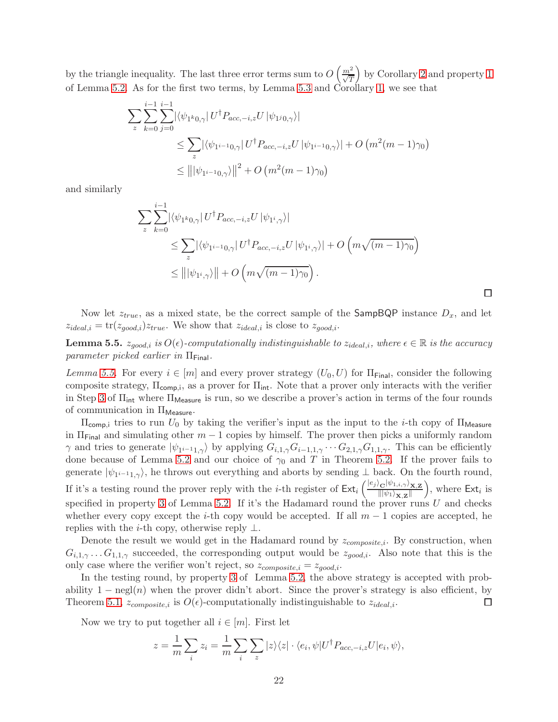by the triangle inequality. The last three error terms sum to  $O\left(\frac{m^2}{\sqrt{T}}\right)$  by Corollary [2](#page-19-1) and property [1](#page-18-0) of Lemma [5.2.](#page-17-3) As for the first two terms, by Lemma [5.3](#page-19-2) and Corollary [1,](#page-19-3) we see that

$$
\sum_{z} \sum_{k=0}^{i-1} \sum_{j=0}^{i-1} |\langle \psi_{1^k 0, \gamma} | U^{\dagger} P_{acc, -i, z} U | \psi_{1^j 0, \gamma} \rangle|
$$
  
\n
$$
\leq \sum_{z} |\langle \psi_{1^{i-1} 0, \gamma} | U^{\dagger} P_{acc, -i, z} U | \psi_{1^{i-1} 0, \gamma} \rangle| + O (m^2 (m - 1) \gamma_0)
$$
  
\n
$$
\leq || |\psi_{1^{i-1} 0, \gamma} \rangle ||^2 + O (m^2 (m - 1) \gamma_0)
$$

and similarly

$$
\sum_{z} \sum_{k=0}^{i-1} |\langle \psi_{1^k 0, \gamma} | U^{\dagger} P_{acc, -i, z} U | \psi_{1^i, \gamma} \rangle|
$$
  
\n
$$
\leq \sum_{z} |\langle \psi_{1^{i-1} 0, \gamma} | U^{\dagger} P_{acc, -i, z} U | \psi_{1^i, \gamma} \rangle| + O\left(m\sqrt{(m-1)\gamma_0}\right)
$$
  
\n
$$
\leq |||\psi_{1^i, \gamma}\rangle|| + O\left(m\sqrt{(m-1)\gamma_0}\right).
$$

 $\Box$ 

<span id="page-21-0"></span>Now let  $z_{true}$ , as a mixed state, be the correct sample of the SampBQP instance  $D_x$ , and let  $z_{ideal,i} = \text{tr}(z_{good,i}) z_{true}.$  We show that  $z_{ideal,i}$  is close to  $z_{good,i}.$ 

**Lemma 5.5.**  $z_{good,i}$  is  $O(\epsilon)$ -computationally indistinguishable to  $z_{ideal,i}$ , where  $\epsilon \in \mathbb{R}$  is the accuracy parameter picked earlier in  $\Pi_{\text{Final}}$ .

Lemma [5.5.](#page-21-0) For every  $i \in [m]$  and every prover strategy  $(U_0, U)$  for  $\Pi_{\text{Final}}$ , consider the following composite strategy,  $\Pi_{\text{comp},i}$ , as a prover for  $\Pi_{\text{int}}$ . Note that a prover only interacts with the verifier in Step [3](#page-14-2) of  $\Pi_{int}$  where  $\Pi_{Measure}$  is run, so we describe a prover's action in terms of the four rounds of communication in  $\Pi_{\text{Measure}}$ .

 $\Pi_{\text{comp,i}}$  tries to run  $U_0$  by taking the verifier's input as the input to the *i*-th copy of  $\Pi_{\text{Measure}}$ in  $\Pi_{\text{Final}}$  and simulating other  $m-1$  copies by himself. The prover then picks a uniformly random  $\gamma$  and tries to generate  $|\psi_{1^{i-1}1,\gamma}\rangle$  by applying  $G_{i,1,\gamma}G_{i-1,1,\gamma}\cdots G_{2,1,\gamma}G_{1,1,\gamma}$ . This can be efficiently done because of Lemma [5.2](#page-17-3) and our choice of  $\gamma_0$  and T in Theorem [5.2.](#page-22-0) If the prover fails to generate  $|\psi_{1^{i-1}1,\gamma}\rangle$ , he throws out everything and aborts by sending  $\perp$  back. On the fourth round, If it's a testing round the prover reply with the *i*-th register of  $\mathsf{Ext}_i\left(\frac{|e_j\rangle_{\mathbf{C}}|\psi_{1,i,\gamma}\rangle_{\mathbf{X},\mathbf{Z}}}{\|\|\psi_1\|_{\mathbf{X}}\|_{\mathbf{Z}}\|}$  $\left\Vert \left|\psi_{1}\right\rangle _{\mathbf{X},\mathbf{Z}}\right\Vert$ ), where  $\mathsf{Ext}_i$  is specified in property [3](#page-18-2) of Lemma [5.2.](#page-17-3) If it's the Hadamard round the prover runs  $U$  and checks whether every copy except the i-th copy would be accepted. If all  $m-1$  copies are accepted, he replies with the *i*-th copy, otherwise reply  $\perp$ .

Denote the result we would get in the Hadamard round by  $z_{composite,i}$ . By construction, when  $G_{i,1,\gamma} \ldots G_{1,1,\gamma}$  succeeded, the corresponding output would be  $z_{good,i}$ . Also note that this is the only case where the verifier won't reject, so  $z_{composite,i} = z_{good,i}$ .

In the testing round, by property [3](#page-18-2) of Lemma [5.2,](#page-17-3) the above strategy is accepted with probability 1 – negl(n) when the prover didn't abort. Since the prover's strategy is also efficient, by<br>Theorem 5.1,  $z_{composite}$  is  $O(\epsilon)$ -computationally indistinguishable to  $z_{ideal}$ . Theorem [5.1,](#page-15-0)  $z_{composite,i}$  is  $O(\epsilon)$ -computationally indistinguishable to  $z_{ideal,i}$ .

Now we try to put together all  $i \in [m]$ . First let

$$
z = \frac{1}{m} \sum_{i} z_i = \frac{1}{m} \sum_{i} \sum_{z} |z\rangle\langle z| \cdot \langle e_i, \psi | U^{\dagger} P_{acc, -i, z} U | e_i, \psi \rangle,
$$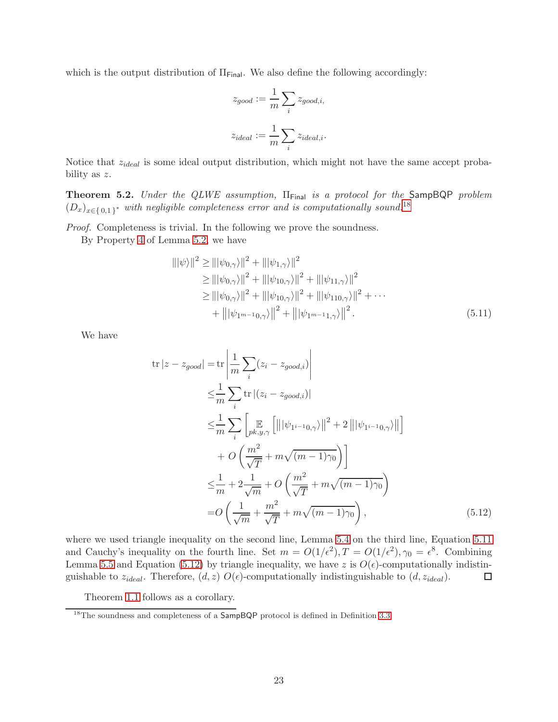which is the output distribution of  $\Pi$ <sub>Final</sub>. We also define the following accordingly:

$$
z_{good} := \frac{1}{m} \sum_{i} z_{good,i},
$$
  

$$
z_{ideal} := \frac{1}{m} \sum_{i} z_{ideal,i}.
$$

<span id="page-22-0"></span>Notice that  $z_{ideal}$  is some ideal output distribution, which might not have the same accept probability as z.

Theorem 5.2. Under the QLWE assumption, Π<sub>Final</sub> is a protocol for the SampBQP problem  $(D_x)_{x \in \{0,1\}^*}$  with negligible completeness error and is computationally sound.<sup>[18](#page-22-1)</sup>

Proof. Completeness is trivial. In the following we prove the soundness.

By Property [4](#page-18-3) of Lemma [5.2,](#page-17-3) we have

<span id="page-22-2"></span>
$$
\|\psi\rangle\|^2 \geq \|\psi_{0,\gamma}\rangle\|^2 + \|\psi_{1,\gamma}\rangle\|^2
$$
  
\n
$$
\geq \|\psi_{0,\gamma}\rangle\|^2 + \|\psi_{10,\gamma}\rangle\|^2 + \|\psi_{11,\gamma}\rangle\|^2
$$
  
\n
$$
\geq \|\psi_{0,\gamma}\rangle\|^2 + \|\psi_{10,\gamma}\rangle\|^2 + \|\psi_{110,\gamma}\rangle\|^2 + \cdots
$$
  
\n
$$
+ \|\psi_{1^{m-1}0,\gamma}\rangle\|^2 + \|\psi_{1^{m-1}1,\gamma}\rangle\|^2.
$$
 (5.11)

We have

<span id="page-22-3"></span>
$$
\begin{split} \n\text{tr}\left|z-z_{good}\right| &= \text{tr}\left|\frac{1}{m}\sum_{i}(z_{i}-z_{good,i})\right| \\ \n&\leq & \frac{1}{m}\sum_{i}\text{tr}\left|(z_{i}-z_{good,i})\right| \\ \n&\leq & \frac{1}{m}\sum_{i}\left[\mathop{\mathbb{E}}_{pk,y,\gamma}\left[\left|\left|\left|\psi_{1^{i-1}0,\gamma}\right\rangle\right|\right|^{2}+2\left|\left|\left|\psi_{1^{i-1}0,\gamma}\right\rangle\right|\right|\right] \\ \n&+ O\left(\frac{m^{2}}{\sqrt{T}}+m\sqrt{(m-1)\gamma_{0}}\right)\right] \\ \n&\leq & \frac{1}{m}+2\frac{1}{\sqrt{m}}+O\left(\frac{m^{2}}{\sqrt{T}}+m\sqrt{(m-1)\gamma_{0}}\right) \\ \n&= & O\left(\frac{1}{\sqrt{m}}+\frac{m^{2}}{\sqrt{T}}+m\sqrt{(m-1)\gamma_{0}}\right), \n\end{split} \tag{5.12}
$$

where we used triangle inequality on the second line, Lemma [5.4](#page-20-0) on the third line, Equation [5.11](#page-22-2) and Cauchy's inequality on the fourth line. Set  $m = O(1/\epsilon^2)$ ,  $T = O(1/\epsilon^2)$ ,  $\gamma_0 = \epsilon^8$ . Combining Lemma [5.5](#page-21-0) and Equation [\(5.12\)](#page-22-3) by triangle inequality, we have z is  $O(\epsilon)$ -computationally indistinguishable to  $z_{ideal}$ . Therefore,  $(d, z)$   $O(\epsilon)$ -computationally indistinguishable to  $(d, z_{ideal})$ .  $\Box$ 

Theorem [1.1](#page-2-1) follows as a corollary.

<span id="page-22-1"></span><sup>&</sup>lt;sup>18</sup>The soundness and completeness of a **SampBQP** protocol is defined in Definition [3.3](#page-10-1)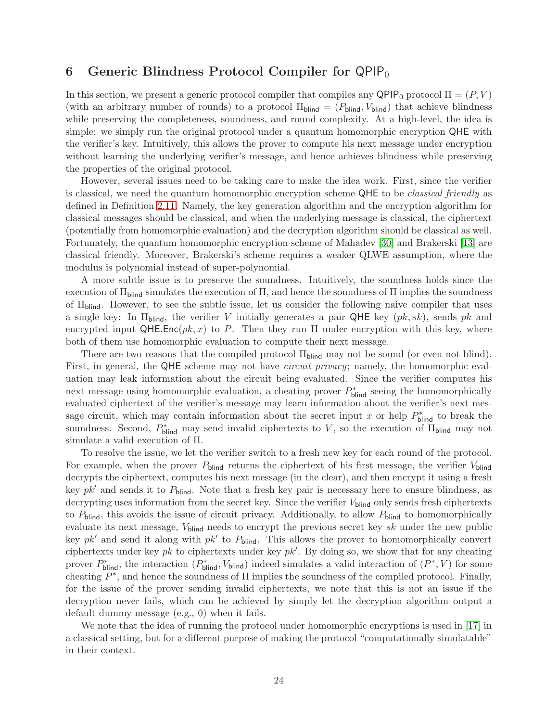# <span id="page-23-0"></span>6 Generic Blindness Protocol Compiler for  $\mathsf{QPIP}_0$

In this section, we present a generic protocol compiler that compiles any  $\mathsf{QPIP}_0$  protocol  $\Pi = (P, V)$ (with an arbitrary number of rounds) to a protocol  $\Pi_{\text{blind}} = (P_{\text{blind}}, V_{\text{blind}})$  that achieve blindness while preserving the completeness, soundness, and round complexity. At a high-level, the idea is simple: we simply run the original protocol under a quantum homomorphic encryption QHE with the verifier's key. Intuitively, this allows the prover to compute his next message under encryption without learning the underlying verifier's message, and hence achieves blindness while preserving the properties of the original protocol.

However, several issues need to be taking care to make the idea work. First, since the verifier is classical, we need the quantum homomorphic encryption scheme QHE to be *classical friendly* as defined in Definition [2.11.](#page-9-0) Namely, the key generation algorithm and the encryption algorithm for classical messages should be classical, and when the underlying message is classical, the ciphertext (potentially from homomorphic evaluation) and the decryption algorithm should be classical as well. Fortunately, the quantum homomorphic encryption scheme of Mahadev [\[30\]](#page-28-12) and Brakerski [\[13\]](#page-27-7) are classical friendly. Moreover, Brakerski's scheme requires a weaker QLWE assumption, where the modulus is polynomial instead of super-polynomial.

A more subtle issue is to preserve the soundness. Intuitively, the soundness holds since the execution of  $\Pi_{\text{blind}}$  simulates the execution of  $\Pi$ , and hence the soundness of  $\Pi$  implies the soundness of  $\Pi_{\text{blind}}$ . However, to see the subtle issue, let us consider the following naive compiler that uses a single key: In  $\Pi_{\text{blind}}$ , the verifier V initially generates a pair QHE key  $(pk, sk)$ , sends pk and encrypted input QHE.Enc( $pk, x$ ) to P. Then they run  $\Pi$  under encryption with this key, where both of them use homomorphic evaluation to compute their next message.

There are two reasons that the compiled protocol  $\Pi_{\text{blind}}$  may not be sound (or even not blind). First, in general, the QHE scheme may not have *circuit privacy*; namely, the homomorphic evaluation may leak information about the circuit being evaluated. Since the verifier computes his next message using homomorphic evaluation, a cheating prover  $P_{\text{blind}}^*$  seeing the homomorphically evaluated ciphertext of the verifier's message may learn information about the verifier's next message circuit, which may contain information about the secret input x or help  $P_{\text{blind}}^*$  to break the soundness. Second,  $P_{\text{blind}}^*$  may send invalid ciphertexts to V, so the execution of  $\Pi_{\text{blind}}$  may not simulate a valid execution of Π.

To resolve the issue, we let the verifier switch to a fresh new key for each round of the protocol. For example, when the prover  $P_{\text{blind}}$  returns the ciphertext of his first message, the verifier  $V_{\text{blind}}$ decrypts the ciphertext, computes his next message (in the clear), and then encrypt it using a fresh key  $pk'$  and sends it to  $P_{\text{blind}}$ . Note that a fresh key pair is necessary here to ensure blindness, as decrypting uses information from the secret key. Since the verifier  $V_{\text{blind}}$  only sends fresh ciphertexts to  $P_{\text{blind}}$ , this avoids the issue of circuit privacy. Additionally, to allow  $P_{\text{blind}}$  to homomorphically evaluate its next message,  $V_{\text{blind}}$  needs to encrypt the previous secret key sk under the new public key  $pk'$  and send it along with  $pk'$  to  $P_{\text{blind}}$ . This allows the prover to homomorphically convert ciphertexts under key  $pk$  to ciphertexts under key  $pk'$ . By doing so, we show that for any cheating prover  $P_{\text{blind}}^*$ , the interaction  $(P_{\text{blind}}^*, V_{\text{blind}})$  indeed simulates a valid interaction of  $(P^*, V)$  for some cheating  $P^*$ , and hence the soundness of  $\Pi$  implies the soundness of the compiled protocol. Finally, for the issue of the prover sending invalid ciphertexts, we note that this is not an issue if the decryption never fails, which can be achieved by simply let the decryption algorithm output a default dummy message (e.g., 0) when it fails.

We note that the idea of running the protocol under homomorphic encryptions is used in [\[17\]](#page-27-13) in a classical setting, but for a different purpose of making the protocol "computationally simulatable" in their context.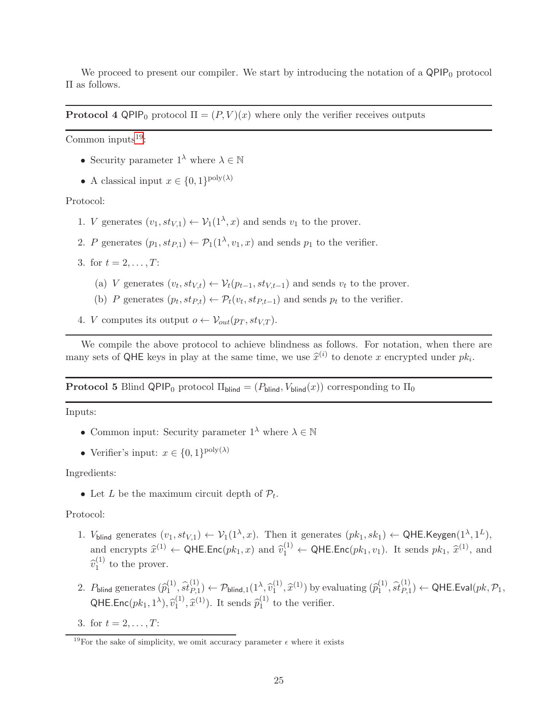We proceed to present our compiler. We start by introducing the notation of a  $\mathsf{QPIP}_0$  protocol Π as follows.

## **Protocol 4 QPIP**<sub>0</sub> protocol  $\Pi = (P, V)(x)$  where only the verifier receives outputs

Common inputs $19$ :

- Security parameter  $1^{\lambda}$  where  $\lambda \in \mathbb{N}$
- A classical input  $x \in \{0, 1\}^{\text{poly}(\lambda)}$

### Protocol:

- 1. *V* generates  $(v_1, st_{V,1}) \leftarrow \mathcal{V}_1(1^{\lambda}, x)$  and sends  $v_1$  to the prover.
- 2. P generates  $(p_1, st_{P,1}) \leftarrow \mathcal{P}_1(1^{\lambda}, v_1, x)$  and sends  $p_1$  to the verifier.
- 3. for  $t = 2, ..., T$ :
	- (a) V generates  $(v_t, st_{V,t}) \leftarrow \mathcal{V}_t(p_{t-1}, st_{V,t-1})$  and sends  $v_t$  to the prover.
	- (b) P generates  $(p_t, st_{P,t}) \leftarrow \mathcal{P}_t(v_t, st_{P,t-1})$  and sends  $p_t$  to the verifier.
- 4. V computes its output  $o \leftarrow \mathcal{V}_{out}(p_T, st_{V,T}).$

We compile the above protocol to achieve blindness as follows. For notation, when there are many sets of QHE keys in play at the same time, we use  $\hat{x}^{(i)}$  to denote x encrypted under  $pk_i$ .

**Protocol 5** Blind QPIP<sub>0</sub> protocol  $\Pi_{\text{blind}} = (P_{\text{blind}}, V_{\text{blind}}(x))$  corresponding to  $\Pi_0$ 

### Inputs:

- Common input: Security parameter  $1^{\lambda}$  where  $\lambda \in \mathbb{N}$
- Verifier's input:  $x \in \{0,1\}^{\text{poly}(\lambda)}$

#### Ingredients:

• Let  $L$  be the maximum circuit depth of  $\mathcal{P}_t$ .

#### Protocol:

- 1. V<sub>blind</sub> generates  $(v_1, st_{V,1}) \leftarrow \mathcal{V}_1(1^{\lambda}, x)$ . Then it generates  $(pk_1, sk_1) \leftarrow \mathsf{QHE}$ . Keygen $(1^{\lambda}, 1^L)$ , and encrypts  $\hat{x}^{(1)} \leftarrow \mathsf{QHE}.\mathsf{Enc}(pk_1, x)$  and  $\hat{v}_1^{(1)} \leftarrow \mathsf{QHE}.\mathsf{Enc}(pk_1, v_1)$ . It sends  $pk_1$ ,  $\hat{x}^{(1)}$ , and  $\widehat{v}_1^{(1)}$  $i_1^{(1)}$  to the prover.
- 2.  $P_{\text{blind}}$  generates  $(\widehat{p}_1^{(1)})$  $\widehat{st}^{(1)}_{P,1}, \widehat{st}^{(1)}_{P,1}$  $(P_{P,1}^{(1)}) \leftarrow \mathcal{P}_{\text{blind},1}(1^{\lambda}, \widehat{v}_1^{(1)})$  $(1^{\{1\}}, \hat{x}^{(1)})$  by evaluating  $(\hat{p}_1^{(1)})$  $\hat{t}_1^{(1)}, \hat{st}_{P,1}^{(1)}$  $(P_{P,1}^{(1)}) \leftarrow \mathsf{QHE}.\mathsf{Eval}(pk, \mathcal{P}_1,$ QHE.Enc $(pk_1, 1^\lambda), \widehat{v}_1^{(1)}$  $(1^{\{1\}}, \hat{x}^{(1)})$ . It sends  $\hat{p}_1^{(1)}$  $1^{(1)}$  to the verifier.
- 3. for  $t = 2, ..., T$ :

<span id="page-24-0"></span><sup>&</sup>lt;sup>19</sup>For the sake of simplicity, we omit accuracy parameter  $\epsilon$  where it exists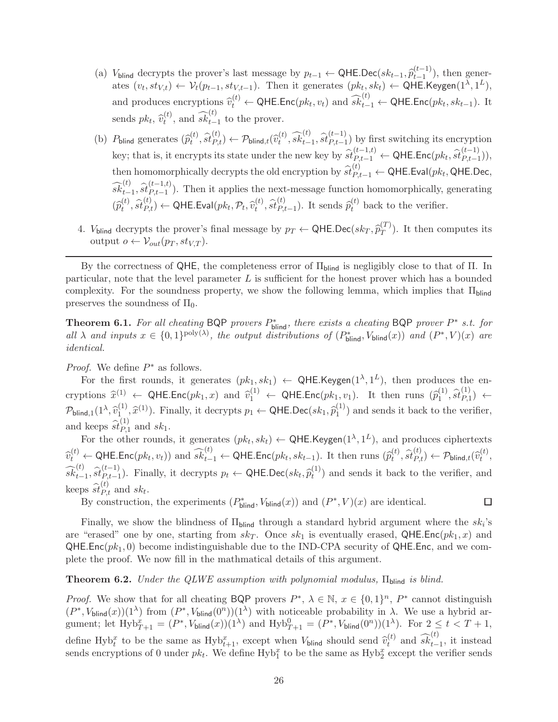- (a)  $V_{\text{blind}}$  decrypts the prover's last message by  $p_{t-1} \leftarrow \text{QHE}.\text{Dec}(sk_{t-1}, \hat{p}_{t-1}^{(t-1)})$  $_{t-1}^{(t-1)}$ ), then generates  $(v_t, st_{V,t}) \leftarrow \mathcal{V}_t(p_{t-1}, st_{V,t-1})$ . Then it generates  $(pk_t, sk_t) \leftarrow \mathsf{QHE}.\mathsf{Keygen}(1^\lambda, 1^L),$ and produces encryptions  $\hat{v}_t^{(t)} \leftarrow \mathsf{QHE}.\mathsf{Enc}(pk_t, v_t)$  and  $\widehat{sk}_{t-1}^{(t)} \leftarrow \mathsf{QHE}.\mathsf{Enc}(pk_t, sk_{t-1})$ . It sends  $pk_t$ ,  $\hat{v}_t^{(t)}$  $t_t^{(t)}$ , and  $\widehat{sk}_{t-1}^{(t)}$  to the prover.
- (b)  $P_{\text{blind}}$  generates  $(\hat{p}_t^{(t)})$  $\widehat{st}_{P,t}^{(t)},\widehat{st}_{P,t}^{(t)}\rangle\leftarrow \mathcal{P}_{\mathsf{blind},t}(\widehat{v}_{t}^{(t)})$  $t^{(t)}, \widehat{sk}_{t-1}^{(t)}, \widehat{st}_{P,t-1}^{(t-1)}$  $(P, t-1)$  by first switching its encryption key; that is, it encrypts its state under the new key by  $\widehat{st}^{(t-1,t)}_{P,t-1} \leftarrow \mathsf{QHE}.\mathsf{Enc}(pk_t, \widehat{st}^{(t-1)}_{P,t-1})$  $\binom{t-1}{P,t-1},$ then homomorphically decrypts the old encryption by  $\widehat{st}^{(t)}_{P,t-1} \leftarrow \mathsf{QHE}.\mathsf{Eval}(pk_t,\mathsf{QHE}.\mathsf{Dec},\mathsf{QHE}.\mathsf{Dec})$  $\widehat{sk}_{t-1}^{(t)}, \widehat{st}_{P,t-1}^{(t-1,t)}$  $P_{t-1}^{(k-1,0)}$ . Then it applies the next-message function homomorphically, generating  $(\widehat{p}_t^{(t)}$  $(t^{(t)}_t, \widehat{st}_{P,t}^{(t)}) \leftarrow \mathsf{QHE}.\mathsf{Eval}(pk_t, \mathcal{P}_t, \widehat{v}_t^{(t)})$  $_{t}^{\left( t\right) },\widehat{st}_{P,\tau }^{\left( t\right) }$  $\hat{p}_{t+1}^{(t)}$ ). It sends  $\hat{p}_t^{(t)}$  back to the verifier.
- 4. V<sub>blind</sub> decrypts the prover's final message by  $p_T \leftarrow \mathsf{QHE}.\mathsf{Dec}(sk_T, \hat{p}_T^{(T)})$  $(T')$ . It then computes its output  $o \leftarrow \mathcal{V}_{out}(p_T, st_{V,T}).$

By the correctness of QHE, the completeness error of Πblind is negligibly close to that of Π. In particular, note that the level parameter  $L$  is sufficient for the honest prover which has a bounded complexity. For the soundness property, we show the following lemma, which implies that  $\Pi_{\text{blind}}$ preserves the soundness of  $\Pi_0$ .

**Theorem 6.1.** For all cheating BQP provers  $P_{\text{blind}}^*$ , there exists a cheating BQP prover  $P^*$  s.t. for all  $\lambda$  and inputs  $x \in \{0,1\}^{\text{poly}(\lambda)}$ , the output distributions of  $(P_{\text{blind}}^*, V_{\text{blind}}(x))$  and  $(P^*, V)(x)$  are identical.

*Proof.* We define  $P^*$  as follows.

For the first rounds, it generates  $(pk_1, sk_1) \leftarrow \mathsf{QHE}.\mathsf{Keygen}(1^\lambda, 1^L),$  then produces the encryptions  $\hat{x}^{(1)} \leftarrow \text{QHE}.\text{Enc}(pk_1, x)$  and  $\hat{v}_1^{(1)} \leftarrow \text{QHE}.\text{Enc}(pk_1, v_1).$  It then runs  $(\hat{p}_1^{(1)} \cdot \hat{p}_2^{(1)})$  $\hat{st}^{(1)}_{P,1}, \hat{st}^{(1)}_{P,1}$  $P_{1}^{(1)}$   $\leftarrow$  $\mathcal{P}_{\mathsf{blind},1}(1^\lambda,\widehat{v}_1^{(1)})$  $\hat{p}_1^{(1)}, \hat{x}^{(1)}$ ). Finally, it decrypts  $p_1 \leftarrow \mathsf{QHE}$ . Dec $(sk_1, \hat{p}_1^{(1)}$  $\binom{1}{1}$  and sends it back to the verifier, and keeps  $\widehat{st}_{P,1}^{(1)}$  and  $sk_1$ .

For the other rounds, it generates  $(pk_t, sk_t) \leftarrow \mathsf{QHE}.\mathsf{Keygen}(1^\lambda, 1^L),$  and produces ciphertexts  $\widehat{v}_t^{(t)} \leftarrow \mathsf{QHE}.\mathsf{Enc}(pk_t, v_t)$  and  $\widehat{sk}_{t-1}^{(t)} \leftarrow \mathsf{QHE}.\mathsf{Enc}(pk_t, sk_{t-1})$ . It then runs  $(\widehat{p}_t^{(t)})$  $(t^t, \widehat{st}_{P,t}^{(t)}) \leftarrow \mathcal{P}_{\mathsf{blind},t}(\widehat{v}_t^{(t)})$  $t^{(\iota)},$  $\widehat{sk}_{t-1}^{(t)}, \widehat{st}_{P,t-1}^{(t-1)}$  $\frac{(t-1)}{P_{t}t-1}$ ). Finally, it decrypts  $p_t$  ← QHE.Dec( $sk_t, \hat{p}_t^{(1)}$  $t<sup>(1)</sup>$  and sends it back to the verifier, and keeps  $\widehat{st}_{P,t}^{(t)}$  and  $sk_t$ .

By construction, the experiments  $(P^*_{\text{blind}}, V_{\text{blind}}(x))$  and  $(P^*, V)(x)$  are identical.

 $\Box$ 

Finally, we show the blindness of  $\Pi_{\text{blind}}$  through a standard hybrid argument where the  $sk_i$ 's are "erased" one by one, starting from  $sk_T$ . Once  $sk_1$  is eventually erased, QHE.Enc( $pk_1, x$ ) and  $QHEE C(pk_1, 0)$  become indistinguishable due to the IND-CPA security of  $QHEE$ . and we complete the proof. We now fill in the mathmatical details of this argument.

#### **Theorem 6.2.** Under the QLWE assumption with polynomial modulus,  $\Pi_{\text{blind}}$  is blind.

*Proof.* We show that for all cheating BQP provers  $P^*$ ,  $\lambda \in \mathbb{N}$ ,  $x \in \{0,1\}^n$ ,  $P^*$  cannot distinguish  $(P^*, V_{\text{blind}}(x))(1^{\lambda})$  from  $(P^*, V_{\text{blind}}(0^n))(1^{\lambda})$  with noticeable probability in  $\lambda$ . We use a hybrid argument; let  $Hyb_{T+1}^x = (P^*, V_{\text{blind}}(x))(1^{\lambda})$  and  $Hyb_{T+1}^0 = (P^*, V_{\text{blind}}(0^n))(1^{\lambda})$ . For  $2 \le t < T+1$ , define Hyb $_t^x$  to be the same as Hyb $_{t+1}^x$ , except when  $V_{\text{blind}}$  should send  $\hat{v}_t^{(t)}$  $\widehat{t}^{(t)}$  and  $\widehat{sk}_{t-1}^{(t)}$ , it instead sends encryptions of 0 under  $pk_t$ . We define  $Hyb_1^x$  to be the same as  $Hyb_2^x$  except the verifier sends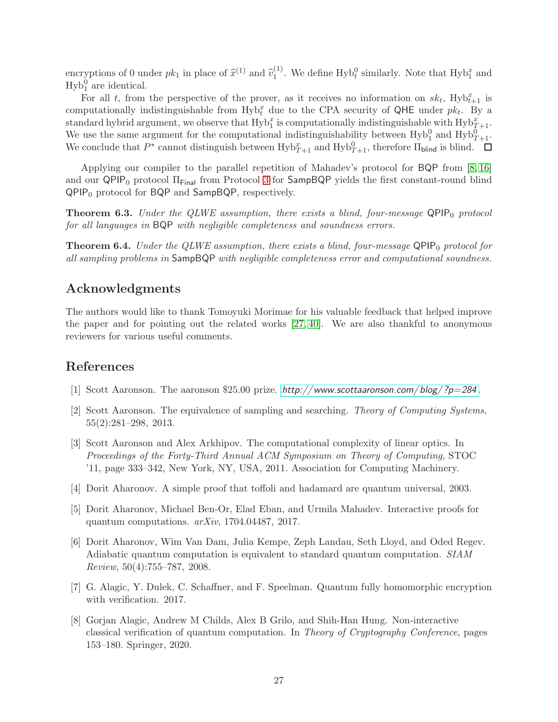encryptions of 0 under  $pk_1$  in place of  $\hat{x}^{(1)}$  and  $\hat{v}^{(1)}_1$  $1<sup>(1)</sup>$ . We define Hyb<sub>t</sub><sup>0</sup> similarly. Note that Hyb<sub>1</sub><sup>x</sup> and  $Hyb<sub>1</sub><sup>0</sup>$  are identical.

For all t, from the perspective of the prover, as it receives no information on  $sk_t$ ,  $Hyb_{t+1}^x$  is computationally indistinguishable from  $Hyb_t^x$  due to the CPA security of QHE under  $pk_t$ . By a standard hybrid argument, we observe that  $Hyb_1^x$  is computationally indistinguishable with  $Hyb_1^x+1$ . We use the same argument for the computational indistinguishability between  $Hyb_1^0$  and  $Hyb_{T+1}^0$ . We conclude that  $P^*$  cannot distinguish between  $Hyb_{T+1}^x$  and  $Hyb_{T+1}^0$ , therefore  $\Pi_{\text{blind}}$  is blind.

Applying our compiler to the parallel repetition of Mahadev's protocol for BQP from [\[8,](#page-26-2) [16\]](#page-27-4) and our  $\text{QPIP}_0$  protocol  $\Pi_{\text{Final}}$  from Protocol [3](#page-16-5) for SampBQP yields the first constant-round blind  $QPIP_0$  protocol for BQP and SampBQP, respectively.

**Theorem 6.3.** Under the QLWE assumption, there exists a blind, four-message  $QPIP_0$  protocol for all languages in BQP with negligible completeness and soundness errors.

**Theorem 6.4.** Under the QLWE assumption, there exists a blind, four-message QPIP<sub>0</sub> protocol for all sampling problems in SampBQP with negligible completeness error and computational soundness.

# Acknowledgments

The authors would like to thank Tomoyuki Morimae for his valuable feedback that helped improve the paper and for pointing out the related works [\[27,](#page-28-9) [40\]](#page-28-10). We are also thankful to anonymous reviewers for various useful comments.

# <span id="page-26-0"></span>References

- <span id="page-26-4"></span>[1] Scott Aaronson. The aaronson \$25.00 prize. *[http://www.scottaaronson.com/ blog/ ?p=284](http://www.scottaaronson.com/blog/?p=284)* .
- [2] Scott Aaronson. The equivalence of sampling and searching. Theory of Computing Systems, 55(2):281–298, 2013.
- <span id="page-26-3"></span>[3] Scott Aaronson and Alex Arkhipov. The computational complexity of linear optics. In Proceedings of the Forty-Third Annual ACM Symposium on Theory of Computing, STOC '11, page 333–342, New York, NY, USA, 2011. Association for Computing Machinery.
- <span id="page-26-1"></span>[4] Dorit Aharonov. A simple proof that toffoli and hadamard are quantum universal, 2003.
- <span id="page-26-5"></span>[5] Dorit Aharonov, Michael Ben-Or, Elad Eban, and Urmila Mahadev. Interactive proofs for quantum computations. arXiv, 1704.04487, 2017.
- [6] Dorit Aharonov, Wim Van Dam, Julia Kempe, Zeph Landau, Seth Lloyd, and Oded Regev. Adiabatic quantum computation is equivalent to standard quantum computation. SIAM Review, 50(4):755–787, 2008.
- <span id="page-26-6"></span><span id="page-26-2"></span>[7] G. Alagic, Y. Dulek, C. Schaffner, and F. Speelman. Quantum fully homomorphic encryption with verification. 2017.
- [8] Gorjan Alagic, Andrew M Childs, Alex B Grilo, and Shih-Han Hung. Non-interactive classical verification of quantum computation. In Theory of Cryptography Conference, pages 153–180. Springer, 2020.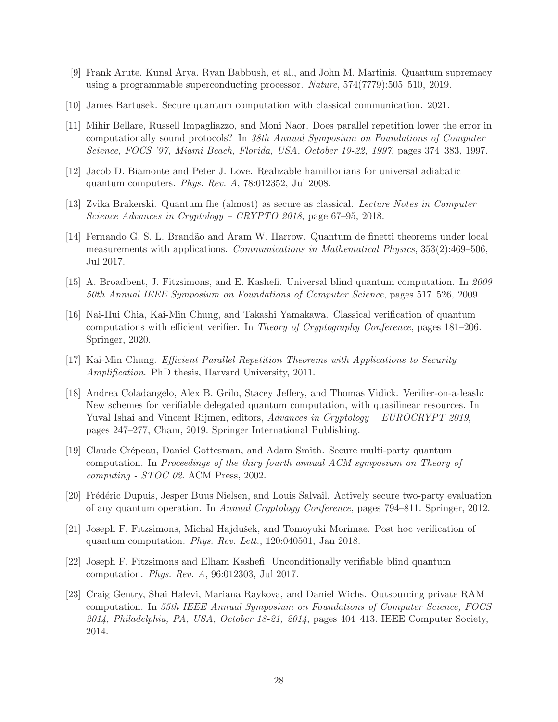- <span id="page-27-10"></span><span id="page-27-5"></span>[9] Frank Arute, Kunal Arya, Ryan Babbush, et al., and John M. Martinis. Quantum supremacy using a programmable superconducting processor. Nature, 574(7779):505–510, 2019.
- <span id="page-27-6"></span>[10] James Bartusek. Secure quantum computation with classical communication. 2021.
- [11] Mihir Bellare, Russell Impagliazzo, and Moni Naor. Does parallel repetition lower the error in computationally sound protocols? In 38th Annual Symposium on Foundations of Computer Science, FOCS '97, Miami Beach, Florida, USA, October 19-22, 1997, pages 374–383, 1997.
- <span id="page-27-12"></span><span id="page-27-7"></span>[12] Jacob D. Biamonte and Peter J. Love. Realizable hamiltonians for universal adiabatic quantum computers. Phys. Rev. A, 78:012352, Jul 2008.
- <span id="page-27-14"></span>[13] Zvika Brakerski. Quantum fhe (almost) as secure as classical. Lecture Notes in Computer Science Advances in Cryptology – CRYPTO 2018, page 67–95, 2018.
- [14] Fernando G. S. L. Brandão and Aram W. Harrow. Quantum de finetti theorems under local measurements with applications. Communications in Mathematical Physics, 353(2):469–506, Jul 2017.
- <span id="page-27-4"></span><span id="page-27-0"></span>[15] A. Broadbent, J. Fitzsimons, and E. Kashefi. Universal blind quantum computation. In 2009 50th Annual IEEE Symposium on Foundations of Computer Science, pages 517–526, 2009.
- [16] Nai-Hui Chia, Kai-Min Chung, and Takashi Yamakawa. Classical verification of quantum computations with efficient verifier. In Theory of Cryptography Conference, pages 181–206. Springer, 2020.
- <span id="page-27-13"></span><span id="page-27-3"></span>[17] Kai-Min Chung. Efficient Parallel Repetition Theorems with Applications to Security Amplification. PhD thesis, Harvard University, 2011.
- [18] Andrea Coladangelo, Alex B. Grilo, Stacey Jeffery, and Thomas Vidick. Verifier-on-a-leash: New schemes for verifiable delegated quantum computation, with quasilinear resources. In Yuval Ishai and Vincent Rijmen, editors, Advances in Cryptology – EUROCRYPT 2019, pages 247–277, Cham, 2019. Springer International Publishing.
- <span id="page-27-8"></span>[19] Claude Cr´epeau, Daniel Gottesman, and Adam Smith. Secure multi-party quantum computation. In Proceedings of the thiry-fourth annual ACM symposium on Theory of computing - STOC 02. ACM Press, 2002.
- <span id="page-27-9"></span>[20] Frédéric Dupuis, Jesper Buus Nielsen, and Louis Salvail. Actively secure two-party evaluation of any quantum operation. In Annual Cryptology Conference, pages 794–811. Springer, 2012.
- <span id="page-27-1"></span>[21] Joseph F. Fitzsimons, Michal Hajdušek, and Tomoyuki Morimae. Post hoc verification of quantum computation. Phys. Rev. Lett., 120:040501, Jan 2018.
- <span id="page-27-2"></span>[22] Joseph F. Fitzsimons and Elham Kashefi. Unconditionally verifiable blind quantum computation. Phys. Rev. A, 96:012303, Jul 2017.
- <span id="page-27-11"></span>[23] Craig Gentry, Shai Halevi, Mariana Raykova, and Daniel Wichs. Outsourcing private RAM computation. In 55th IEEE Annual Symposium on Foundations of Computer Science, FOCS 2014, Philadelphia, PA, USA, October 18-21, 2014, pages 404–413. IEEE Computer Society, 2014.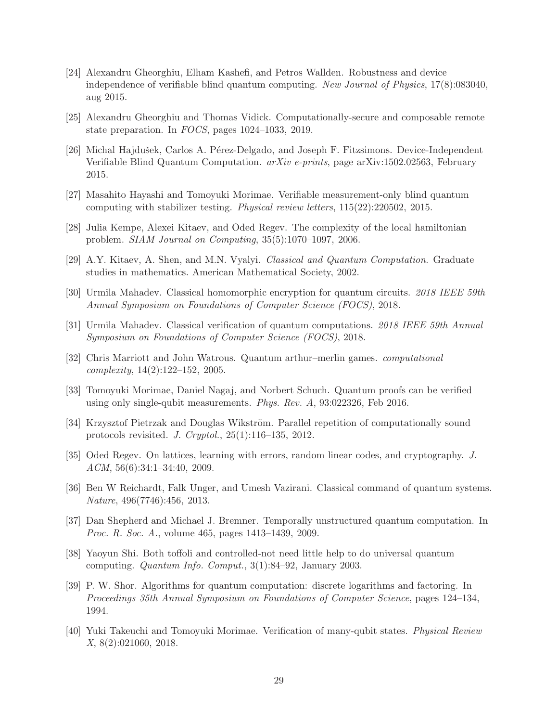- <span id="page-28-0"></span>[24] Alexandru Gheorghiu, Elham Kashefi, and Petros Wallden. Robustness and device independence of verifiable blind quantum computing. New Journal of Physics, 17(8):083040, aug 2015.
- <span id="page-28-5"></span><span id="page-28-1"></span>[25] Alexandru Gheorghiu and Thomas Vidick. Computationally-secure and composable remote state preparation. In FOCS, pages 1024–1033, 2019.
- [26] Michal Hajdušek, Carlos A. Pérez-Delgado, and Joseph F. Fitzsimons. Device-Independent Verifiable Blind Quantum Computation. arXiv e-prints, page arXiv:1502.02563, February 2015.
- <span id="page-28-14"></span><span id="page-28-9"></span>[27] Masahito Hayashi and Tomoyuki Morimae. Verifiable measurement-only blind quantum computing with stabilizer testing. Physical review letters, 115(22):220502, 2015.
- [28] Julia Kempe, Alexei Kitaev, and Oded Regev. The complexity of the local hamiltonian problem. SIAM Journal on Computing, 35(5):1070–1097, 2006.
- <span id="page-28-13"></span><span id="page-28-12"></span>[29] A.Y. Kitaev, A. Shen, and M.N. Vyalyi. Classical and Quantum Computation. Graduate studies in mathematics. American Mathematical Society, 2002.
- [30] Urmila Mahadev. Classical homomorphic encryption for quantum circuits. 2018 IEEE 59th Annual Symposium on Foundations of Computer Science (FOCS), 2018.
- <span id="page-28-15"></span><span id="page-28-3"></span>[31] Urmila Mahadev. Classical verification of quantum computations. 2018 IEEE 59th Annual Symposium on Foundations of Computer Science (FOCS), 2018.
- <span id="page-28-8"></span>[32] Chris Marriott and John Watrous. Quantum arthur–merlin games. computational complexity, 14(2):122–152, 2005.
- <span id="page-28-11"></span>[33] Tomoyuki Morimae, Daniel Nagaj, and Norbert Schuch. Quantum proofs can be verified using only single-qubit measurements. Phys. Rev. A, 93:022326, Feb 2016.
- [34] Krzysztof Pietrzak and Douglas Wikström. Parallel repetition of computationally sound protocols revisited. J. Cryptol., 25(1):116–135, 2012.
- <span id="page-28-4"></span>[35] Oded Regev. On lattices, learning with errors, random linear codes, and cryptography. J. ACM, 56(6):34:1–34:40, 2009.
- <span id="page-28-2"></span>[36] Ben W Reichardt, Falk Unger, and Umesh Vazirani. Classical command of quantum systems. Nature, 496(7746):456, 2013.
- <span id="page-28-7"></span>[37] Dan Shepherd and Michael J. Bremner. Temporally unstructured quantum computation. In Proc. R. Soc. A., volume 465, pages 1413–1439, 2009.
- <span id="page-28-16"></span>[38] Yaoyun Shi. Both toffoli and controlled-not need little help to do universal quantum computing. Quantum Info. Comput., 3(1):84–92, January 2003.
- <span id="page-28-6"></span>[39] P. W. Shor. Algorithms for quantum computation: discrete logarithms and factoring. In Proceedings 35th Annual Symposium on Foundations of Computer Science, pages 124–134, 1994.
- <span id="page-28-10"></span>[40] Yuki Takeuchi and Tomoyuki Morimae. Verification of many-qubit states. Physical Review X, 8(2):021060, 2018.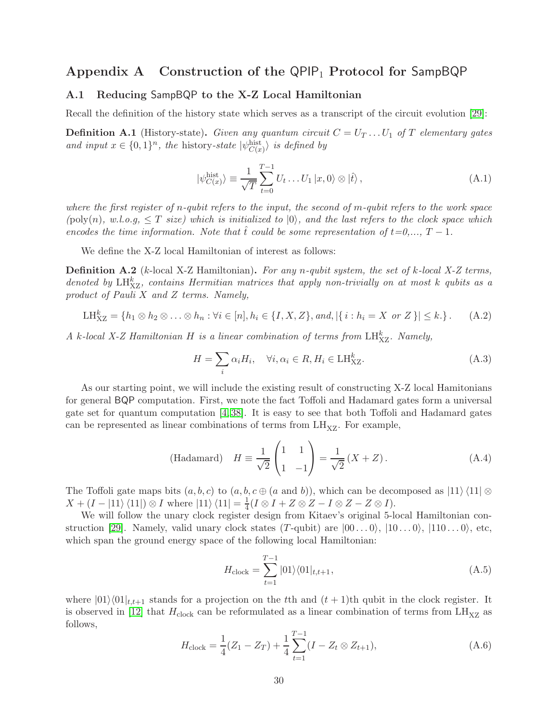# <span id="page-29-0"></span>Appendix A Construction of the  $QPIP_1$  Protocol for SampBQP

## A.1 Reducing SampBQP to the X-Z Local Hamiltonian

Recall the definition of the history state which serves as a transcript of the circuit evolution [\[29\]](#page-28-13):

**Definition A.1** (History-state). Given any quantum circuit  $C = U_T \dots U_1$  of T elementary gates and input  $x \in \{0,1\}^n$ , the history-state  $|\psi_{C(x)}^{\text{hist}}\rangle$  is defined by

$$
|\psi_{C(x)}^{\text{hist}}\rangle \equiv \frac{1}{\sqrt{T}} \sum_{t=0}^{T-1} U_t \dots U_1 |x,0\rangle \otimes |\hat{t}\rangle, \qquad (A.1)
$$

where the first register of n-qubit refers to the input, the second of m-qubit refers to the work space  $(poly(n), w.l.o.g. \leq T \text{ size})$  which is initialized to  $|0\rangle$ , and the last refers to the clock space which encodes the time information. Note that  $\hat{t}$  could be some representation of  $t=0,\ldots, T-1$ .

We define the X-Z local Hamiltonian of interest as follows:

**Definition A.2** (k-local X-Z Hamiltonian). For any n-qubit system, the set of k-local X-Z terms, denoted by  $\text{LH}_{\text{XZ}}^k$ , contains Hermitian matrices that apply non-trivially on at most k qubits as a product of Pauli X and Z terms. Namely,

$$
LH_{XZ}^k = \{h_1 \otimes h_2 \otimes \ldots \otimes h_n : \forall i \in [n], h_i \in \{I, X, Z\}, and, |\{i : h_i = X \text{ or } Z\}| \le k.\}.
$$
 (A.2)

A k-local X-Z Hamiltonian H is a linear combination of terms from  $LH_{XZ}^k$ . Namely,

$$
H = \sum_{i} \alpha_i H_i, \quad \forall i, \alpha_i \in R, H_i \in \mathcal{L}H_{\mathcal{XZ}}^k.
$$
 (A.3)

As our starting point, we will include the existing result of constructing X-Z local Hamitonians for general BQP computation. First, we note the fact Toffoli and Hadamard gates form a universal gate set for quantum computation [4, [38\]](#page-28-16). It is easy to see that both Toffoli and Hadamard gates can be represented as linear combinations of terms from  $LH_{XZ}$ . For example,

(Hadamard) 
$$
H \equiv \frac{1}{\sqrt{2}} \begin{pmatrix} 1 & 1 \ 1 & -1 \end{pmatrix} = \frac{1}{\sqrt{2}} (X + Z).
$$
 (A.4)

The Toffoli gate maps bits  $(a, b, c)$  to  $(a, b, c \oplus (a \text{ and } b))$ , which can be decomposed as  $|11\rangle \langle 11| \otimes$  $X + (I - |11\rangle \langle 11|) \otimes I$  where  $|11\rangle \langle 11| = \frac{1}{4}$  $\frac{1}{4}(I \otimes I + Z \otimes Z - I \otimes Z - Z \otimes I).$ 

We will follow the unary clock register design from Kitaev's original 5-local Hamiltonian con-struction [\[29\]](#page-28-13). Namely, valid unary clock states  $(T\text{-qubit})$  are  $|00...0\rangle$ ,  $|10...0\rangle$ ,  $|110...0\rangle$ , etc, which span the ground energy space of the following local Hamiltonian:

$$
H_{\text{clock}} = \sum_{t=1}^{T-1} |01\rangle\langle01|_{t,t+1},\tag{A.5}
$$

where  $|01\rangle\langle01|_{t,t+1}$  stands for a projection on the tth and  $(t + 1)$ th qubit in the clock register. It is observed in [\[12\]](#page-27-12) that  $H_{\text{clock}}$  can be reformulated as a linear combination of terms from  $\text{LH}_{\text{XZ}}$  as follows,

<span id="page-29-1"></span>
$$
H_{\text{clock}} = \frac{1}{4}(Z_1 - Z_T) + \frac{1}{4} \sum_{t=1}^{T-1} (I - Z_t \otimes Z_{t+1}),
$$
\n(A.6)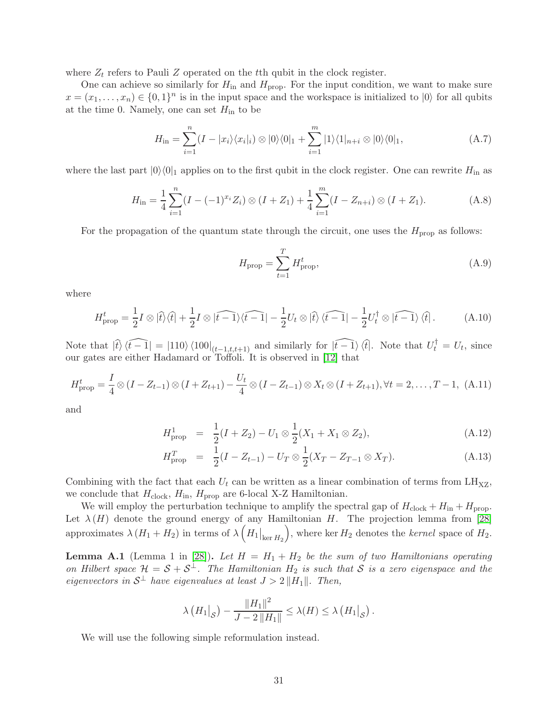where  $Z_t$  refers to Pauli Z operated on the tth qubit in the clock register.

One can achieve so similarly for  $H_{\text{in}}$  and  $H_{\text{prop}}$ . For the input condition, we want to make sure  $x = (x_1, \ldots, x_n) \in \{0, 1\}^n$  is in the input space and the workspace is initialized to  $|0\rangle$  for all qubits at the time 0. Namely, one can set  $H_{\text{in}}$  to be

$$
H_{\rm in} = \sum_{i=1}^{n} (I - |x_i\rangle\langle x_i|_i) \otimes |0\rangle\langle 0|_1 + \sum_{i=1}^{m} |1\rangle\langle 1|_{n+i} \otimes |0\rangle\langle 0|_1, \tag{A.7}
$$

where the last part  $|0\rangle\langle0|_1$  applies on to the first qubit in the clock register. One can rewrite  $H_{\text{in}}$  as

<span id="page-30-1"></span>
$$
H_{\rm in} = \frac{1}{4} \sum_{i=1}^{n} (I - (-1)^{x_i} Z_i) \otimes (I + Z_1) + \frac{1}{4} \sum_{i=1}^{m} (I - Z_{n+i}) \otimes (I + Z_1).
$$
 (A.8)

For the propagation of the quantum state through the circuit, one uses the  $H_{\text{prop}}$  as follows:

<span id="page-30-2"></span>
$$
H_{\text{prop}} = \sum_{t=1}^{T} H_{\text{prop}}^{t},\tag{A.9}
$$

where

$$
H_{\text{prop}}^{t} = \frac{1}{2} I \otimes | \hat{t} \rangle \langle \hat{t} | + \frac{1}{2} I \otimes | \hat{t} - 1 \rangle \langle \hat{t} - 1 | - \frac{1}{2} U_{t} \otimes | \hat{t} \rangle \langle \hat{t} - 1 | - \frac{1}{2} U_{t}^{\dagger} \otimes | \hat{t} - 1 \rangle \langle \hat{t} |.
$$
 (A.10)

Note that  $|\hat{t}\rangle \langle \hat{t-1}| = |110\rangle \langle 100|_{(t-1,t,t+1)}$  and similarly for  $|\hat{t-1}\rangle \langle \hat{t}|$ . Note that  $U_t^{\dagger} = U_t$ , since our gates are either Hadamard or Toffoli. It is observed in [\[12\]](#page-27-12) that

$$
H_{\text{prop}}^{t} = \frac{I}{4} \otimes (I - Z_{t-1}) \otimes (I + Z_{t+1}) - \frac{U_t}{4} \otimes (I - Z_{t-1}) \otimes X_t \otimes (I + Z_{t+1}), \forall t = 2, ..., T - 1, (A.11)
$$

and

$$
H_{\text{prop}}^1 = \frac{1}{2}(I + Z_2) - U_1 \otimes \frac{1}{2}(X_1 + X_1 \otimes Z_2), \tag{A.12}
$$

$$
H_{\text{prop}}^T = \frac{1}{2}(I - Z_{t-1}) - U_T \otimes \frac{1}{2}(X_T - Z_{T-1} \otimes X_T). \tag{A.13}
$$

Combining with the fact that each  $U_t$  can be written as a linear combination of terms from  $LH_{XZ}$ , we conclude that  $H_{\text{clock}}$ ,  $H_{\text{in}}$ ,  $H_{\text{prop}}$  are 6-local X-Z Hamiltonian.

We will employ the perturbation technique to amplify the spectral gap of  $H_{\text{clock}} + H_{\text{in}} + H_{\text{prop}}$ . Let  $\lambda(H)$  denote the ground energy of any Hamiltonian H. The projection lemma from [\[28\]](#page-28-14) approximates  $\lambda (H_1 + H_2)$  in terms of  $\lambda \left(H_1\vert_{\ker H_2}\right)$ ), where ker  $H_2$  denotes the *kernel* space of  $H_2$ .

<span id="page-30-0"></span>**Lemma A.1** (Lemma 1 in [\[28\]](#page-28-14)). Let  $H = H_1 + H_2$  be the sum of two Hamiltonians operating on Hilbert space  $\mathcal{H} = \mathcal{S} + \mathcal{S}^{\perp}$ . The Hamiltonian  $H_2$  is such that S is a zero eigenspace and the eigenvectors in  $S^{\perp}$  have eigenvalues at least  $J > 2||H_1||$ . Then,

$$
\lambda\left(H_1\big|_{\mathcal{S}}\right) - \frac{\|H_1\|^2}{J-2\|H_1\|} \leq \lambda(H) \leq \lambda\left(H_1\big|_{\mathcal{S}}\right).
$$

<span id="page-30-3"></span>We will use the following simple reformulation instead.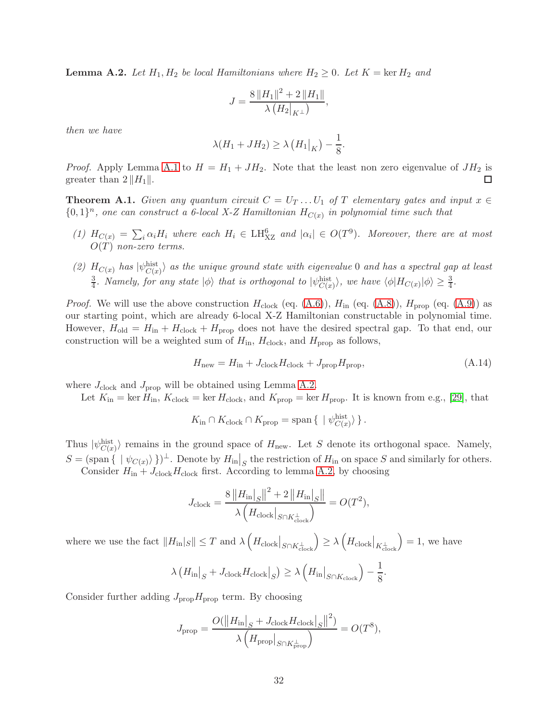**Lemma A.2.** Let  $H_1, H_2$  be local Hamiltonians where  $H_2 \geq 0$ . Let  $K = \text{ker } H_2$  and

$$
J = \frac{8\left\|H_1\right\|^2 + 2\left\|H_1\right\|}{\lambda \left(H_2\right|_{K^\perp})},
$$

then we have

$$
\lambda(H_1 + JH_2) \ge \lambda\left(H_1\big|_K\right) - \frac{1}{8}.
$$

*Proof.* Apply Lemma [A.1](#page-30-0) to  $H = H_1 + JH_2$ . Note that the least non zero eigenvalue of  $JH_2$  is greater than  $2||H_1||$ .  $\Box$ 

<span id="page-31-0"></span>**Theorem A.1.** Given any quantum circuit  $C = U_T \dots U_1$  of T elementary gates and input  $x \in$  $\{0,1\}^n$ , one can construct a 6-local X-Z Hamiltonian  $H_{C(x)}$  in polynomial time such that

- (1)  $H_{C(x)} = \sum_i \alpha_i H_i$  where each  $H_i \in \text{LH}_{XZ}^6$  and  $|\alpha_i| \in O(T^9)$ . Moreover, there are at most  $O(T)$  non-zero terms.
- (2)  $H_{C(x)}$  has  $|\psi_{C(x)}^{\text{hist}}\rangle$  as the unique ground state with eigenvalue 0 and has a spectral gap at least 3  $\frac{3}{4}$ . Namely, for any state  $|\phi\rangle$  that is orthogonal to  $|\psi_{C(x)}^{\text{hist}}\rangle$ , we have  $\langle\phi|H_{C(x)}|\phi\rangle\geq\frac{3}{4}$ .

*Proof.* We will use the above construction  $H_{\text{clock}}$  (eq. [\(A.6\)](#page-29-1)),  $H_{\text{in}}$  (eq. [\(A.8\)](#page-30-1)),  $H_{\text{prop}}$  (eq. [\(A.9\)](#page-30-2)) as our starting point, which are already 6-local X-Z Hamiltonian constructable in polynomial time. However,  $H_{old} = H_{in} + H_{clock} + H_{prop}$  does not have the desired spectral gap. To that end, our construction will be a weighted sum of  $H_{\text{in}}$ ,  $H_{\text{clock}}$ , and  $H_{\text{prop}}$  as follows,

$$
Hnew = Hin + JclockHclock + JpropHprop,
$$
\n(A.14)

where  $J_{\text{clock}}$  and  $J_{\text{prop}}$  will be obtained using Lemma [A.2.](#page-30-3)

Let  $K_{\text{in}} = \ker H_{\text{in}}$ ,  $K_{\text{clock}} = \ker H_{\text{clock}}$ , and  $K_{\text{prop}} = \ker H_{\text{prop}}$ . It is known from e.g., [\[29\]](#page-28-13), that

$$
K_{\text{in}} \cap K_{\text{clock}} \cap K_{\text{prop}} = \text{span}\{ \mid \psi_{C(x)}^{\text{hist}} \rangle \}.
$$

Thus  $|\psi_{C(x)}^{\text{hist}}\rangle$  remains in the ground space of  $H_{\text{new}}$ . Let S denote its orthogonal space. Namely,  $S = \text{(span} \{ | \psi_{C(x)} \rangle \} )^{\perp}$ . Denote by  $H_{\text{in}} |_{S}$  the restriction of  $H_{\text{in}}$  on space S and similarly for others.

Consider  $H_{\text{in}} + J_{\text{clock}} H_{\text{clock}}$  first. According to lemma [A.2,](#page-30-3) by choosing

$$
J_{\text{clock}} = \frac{8 \left\| H_{\text{in}} \right|_{S} \left\|^2 + 2 \left\| H_{\text{in}} \right|_{S} \right\|}{\lambda \left( H_{\text{clock}} \right|_{S \cap K_{\text{clock}}^{\perp}} \right)} = O(T^2),
$$

where we use the fact  $||H_{\rm in}|_S|| \leq T$  and  $\lambda \left(H_{\rm clock} \big|_{S \cap K_{\rm clock}^\perp} \right]$  $\Big) \geq \lambda \left( H_{\rm clock} \big|_{K_{\rm clock}^\perp} \Big)$  $= 1$ , we have

$$
\lambda \left( H_{\text{in}} \big|_{S} + J_{\text{clock}} H_{\text{clock}} \big|_{S} \right) \ge \lambda \left( H_{\text{in}} \big|_{S \cap K_{\text{clock}}} \right) - \frac{1}{8}.
$$

Consider further adding  $J_{\text{prop}}H_{\text{prop}}$  term. By choosing

$$
J_{\text{prop}} = \frac{O(||H_{\text{in}}||_{S} + J_{\text{clock}}H_{\text{clock}}||_{S}||^{2})}{\lambda \left( H_{\text{prop}}|_{S \cap K_{\text{prop}}^{\perp}} \right)} = O(T^{8}),
$$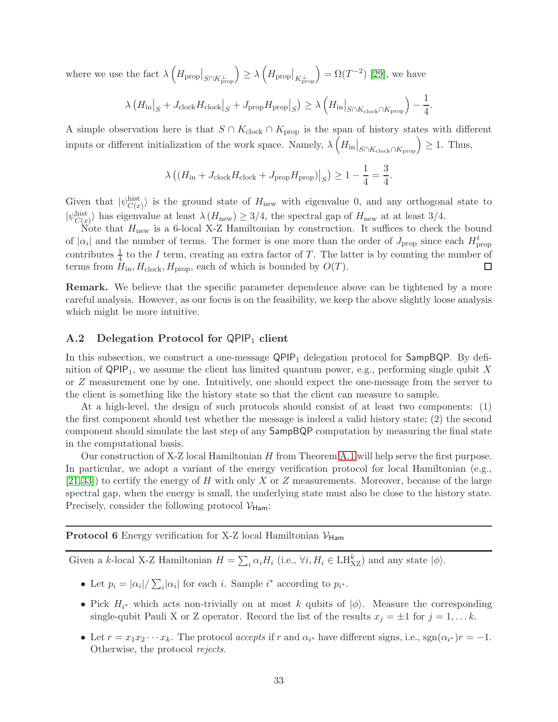where we use the fact  $\lambda\left(H_{\text{prop}}\big|_{S\cap K_{\text{prop}}^{\perp}}\right) \geq \lambda\left(H_{\text{prop}}\big|_{K_{\text{prop}}^{\perp}}\right) = \Omega(T^{-2})$  [\[29\]](#page-28-13), we have

$$
\lambda \left( H_{\text{in}} \big|_{S} + J_{\text{clock}} H_{\text{clock}} \big|_{S} + J_{\text{prop}} H_{\text{prop}} \big|_{S} \right) \ge \lambda \left( H_{\text{in}} \big|_{S \cap K_{\text{clock}} \cap K_{\text{prop}}} \right) - \frac{1}{4}.
$$

A simple observation here is that  $S \cap K_{\text{clock}} \cap K_{\text{prop}}$  is the span of history states with different inputs or different initialization of the work space. Namely,  $\lambda \left( H_{\text{in}} \big|_{S \cap K_{\text{clock}} \cap K_{\text{prop}}} \right) \geq 1$ . Thus,

$$
\lambda ((H_{\text{in}} + J_{\text{clock}} H_{\text{clock}} + J_{\text{prop}} H_{\text{prop}})|_S) \ge 1 - \frac{1}{4} = \frac{3}{4}.
$$

Given that  $|\psi_{C(x)}^{\text{hist}}\rangle$  is the ground state of  $H_{\text{new}}$  with eigenvalue 0, and any orthogonal state to  $|\psi_{C(x)}^{\text{hist}}\rangle$  has eigenvalue at least  $\lambda(H_{\text{new}}) \geq 3/4$ , the spectral gap of  $H_{\text{new}}$  at at least 3/4.

Note that  $H_{\text{new}}$  is a 6-local X-Z Hamiltonian by construction. It suffices to check the bound of  $|\alpha_i|$  and the number of terms. The former is one more than the order of  $J_{\rm prop}$  since each  $H_{\rm prop}^t$ contributes  $\frac{1}{4}$  to the I term, creating an extra factor of T. The latter is by counting the number of terms from  $H_{\text{in}}$ ,  $H_{\text{clock}}$ ,  $H_{\text{prop}}$ , each of which is bounded by  $O(T)$ . □

Remark. We believe that the specific parameter dependence above can be tightened by a more careful analysis. However, as our focus is on the feasibility, we keep the above slightly loose analysis which might be more intuitive.

### <span id="page-32-0"></span>A.2 Delegation Protocol for  $QPIP_1$  client

In this subsection, we construct a one-message  $QPIP_1$  delegation protocol for SampBQP. By definition of  $\mathsf{QPIP}_1$ , we assume the client has limited quantum power, e.g., performing single qubit X or Z measurement one by one. Intuitively, one should expect the one-message from the server to the client is something like the history state so that the client can measure to sample.

At a high-level, the design of such protocols should consist of at least two components: (1) the first component should test whether the message is indeed a valid history state; (2) the second component should simulate the last step of any SampBQP computation by measuring the final state in the computational basis.

Our construction of X-Z local Hamiltonian  $H$  from Theorem [A.1](#page-31-0) will help serve the first purpose. In particular, we adopt a variant of the energy verification protocol for local Hamiltonian (e.g.,  $[21,33]$  $[21,33]$ ) to certify the energy of H with only X or Z measurements. Moreover, because of the large spectral gap, when the energy is small, the underlying state must also be close to the history state. Precisely, consider the following protocol  $V_{\text{Ham}}$ :

<span id="page-32-1"></span>**Protocol 6** Energy verification for X-Z local Hamiltonian  $V_{\text{Ham}}$ 

Given a k-local X-Z Hamiltonian  $H = \sum_i \alpha_i H_i$  (i.e.,  $\forall i, H_i \in \text{LH}_{XZ}^k$ ) and any state  $|\phi\rangle$ .

- Let  $p_i = |\alpha_i| / \sum_i |\alpha_i|$  for each *i*. Sample *i*<sup>\*</sup> according to  $p_{i}$ \*.
- Pick  $H_{i^*}$  which acts non-trivially on at most k qubits of  $|\phi\rangle$ . Measure the corresponding single-qubit Pauli X or Z operator. Record the list of the results  $x_j = \pm 1$  for  $j = 1, \ldots k$ .
- Let  $r = x_1 x_2 \cdots x_k$ . The protocol accepts if r and  $\alpha_{i^*}$  have different signs, i.e.,  $sgn(\alpha_{i^*})r = -1$ . Otherwise, the protocol rejects.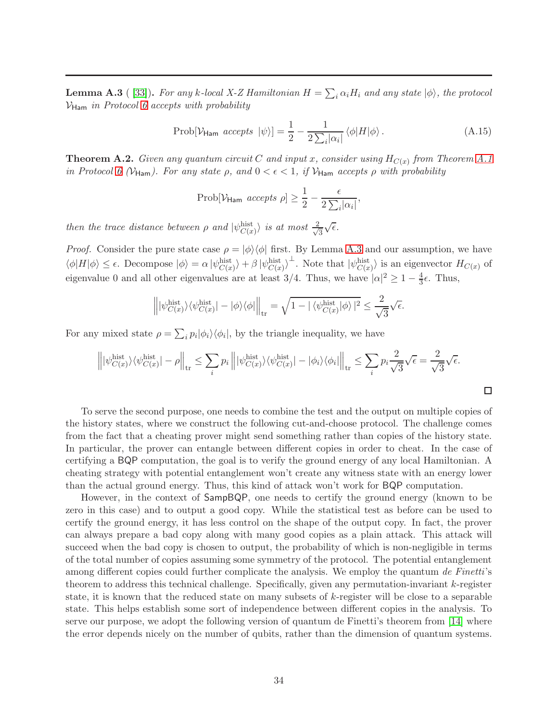<span id="page-33-0"></span>**Lemma A.3** ([33]). For any k-local X-Z Hamiltonian  $H = \sum_i \alpha_i H_i$  and any state  $|\phi\rangle$ , the protocol  $V_{\text{Ham}}$  in Protocol [6](#page-32-1) accepts with probability

$$
\text{Prob}[\mathcal{V}_{\text{Ham}} \text{ accepts } |\psi\rangle] = \frac{1}{2} - \frac{1}{2 \sum_{i} |\alpha_{i}|} \langle \phi | H | \phi \rangle. \tag{A.15}
$$

,

<span id="page-33-2"></span>**Theorem A.2.** Given any quantum circuit C and input x, consider using  $H_{C(x)}$  from Theorem [A.1](#page-31-0) in Protocol [6](#page-32-1) ( $V_{\text{Ham}}$ ). For any state  $\rho$ , and  $0 < \epsilon < 1$ , if  $V_{\text{Ham}}$  accepts  $\rho$  with probability

$$
\text{Prob}[\mathcal{V}_{\text{Ham}} \text{ accepts } \rho] \ge \frac{1}{2} - \frac{\epsilon}{2 \sum_i |\alpha_i|}
$$

then the trace distance between  $\rho$  and  $|\psi_{C(x)}^{\text{hist}}\rangle$  is at most  $\frac{2}{\sqrt{x}}$ 3  $\sqrt{\epsilon}$ .

*Proof.* Consider the pure state case  $\rho = |\phi\rangle\langle\phi|$  first. By Lemma [A.3](#page-33-0) and our assumption, we have  $\langle \phi | H | \phi \rangle \leq \epsilon$ . Decompose  $|\phi\rangle = \alpha |\psi_{C(x)}^{\text{hist}}\rangle + \beta |\psi_{C(x)}^{\text{hist}}\rangle^{\perp}$ . Note that  $|\psi_{C(x)}^{\text{hist}}\rangle$  is an eigenvector  $H_{C(x)}$  of eigenvalue 0 and all other eigenvalues are at least 3/4. Thus, we have  $|\alpha|^2 \geq 1 - \frac{4}{3}$  $rac{4}{3}\epsilon$ . Thus,

$$
\left\| |\psi^{\rm hist}_{C(x)}\rangle \langle \psi^{\rm hist}_{C(x)}| - |\phi\rangle \langle \phi| \right\|_{\rm tr} = \sqrt{1 - |\langle \psi^{\rm hist}_{C(x)}| \phi \rangle|^2} \le \frac{2}{\sqrt{3}} \sqrt{\epsilon}.
$$

For any mixed state  $\rho = \sum_i p_i |\phi_i\rangle\langle\phi_i|$ , by the triangle inequality, we have

$$
\left\| |\psi^{\rm hist}_{C(x)}\rangle \langle \psi^{\rm hist}_{C(x)}| - \rho \right\|_{\rm tr} \le \sum_i p_i \left\| |\psi^{\rm hist}_{C(x)}\rangle \langle \psi^{\rm hist}_{C(x)}| - |\phi_i\rangle \langle \phi_i| \right\|_{\rm tr} \le \sum_i p_i \frac{2}{\sqrt{3}} \sqrt{\epsilon} = \frac{2}{\sqrt{3}} \sqrt{\epsilon}.
$$

To serve the second purpose, one needs to combine the test and the output on multiple copies of the history states, where we construct the following cut-and-choose protocol. The challenge comes from the fact that a cheating prover might send something rather than copies of the history state. In particular, the prover can entangle between different copies in order to cheat. In the case of certifying a BQP computation, the goal is to verify the ground energy of any local Hamiltonian. A cheating strategy with potential entanglement won't create any witness state with an energy lower than the actual ground energy. Thus, this kind of attack won't work for BQP computation.

<span id="page-33-1"></span>However, in the context of SampBQP, one needs to certify the ground energy (known to be zero in this case) and to output a good copy. While the statistical test as before can be used to certify the ground energy, it has less control on the shape of the output copy. In fact, the prover can always prepare a bad copy along with many good copies as a plain attack. This attack will succeed when the bad copy is chosen to output, the probability of which is non-negligible in terms of the total number of copies assuming some symmetry of the protocol. The potential entanglement among different copies could further complicate the analysis. We employ the quantum de Finetti's theorem to address this technical challenge. Specifically, given any permutation-invariant k-register state, it is known that the reduced state on many subsets of  $k$ -register will be close to a separable state. This helps establish some sort of independence between different copies in the analysis. To serve our purpose, we adopt the following version of quantum de Finetti's theorem from [\[14\]](#page-27-14) where the error depends nicely on the number of qubits, rather than the dimension of quantum systems.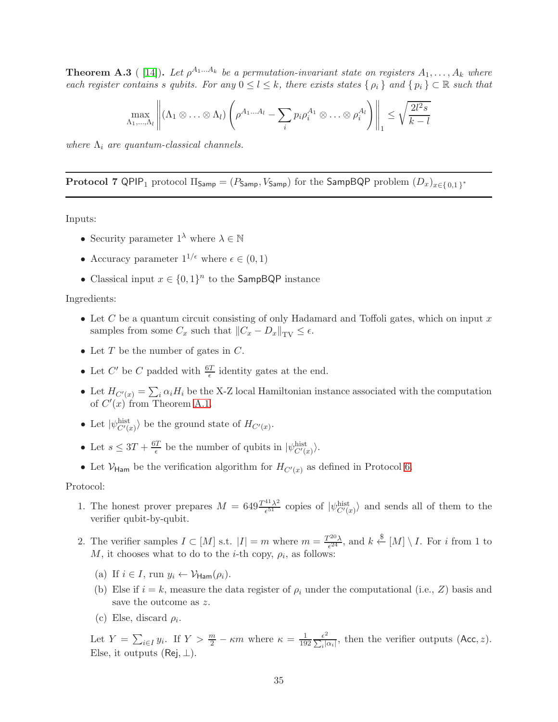**Theorem A.3** ([14]). Let  $\rho^{A_1...A_k}$  be a permutation-invariant state on registers  $A_1, \ldots, A_k$  where each register contains s qubits. For any  $0 \leq l \leq k$ , there exists states  $\{ \rho_i \}$  and  $\{ p_i \} \subset \mathbb{R}$  such that

$$
\max_{\Lambda_1,\dots,\Lambda_l} \left\| (\Lambda_1 \otimes \dots \otimes \Lambda_l) \left( \rho^{A_1 \dots A_l} - \sum_i p_i \rho_i^{A_1} \otimes \dots \otimes \rho_i^{A_l} \right) \right\|_1 \leq \sqrt{\frac{2l^2s}{k-l}}
$$

where  $\Lambda_i$  are quantum-classical channels.

<span id="page-34-0"></span>**Protocol 7** QPIP<sub>1</sub> protocol  $\Pi_{\mathsf{Samp}} = (P_{\mathsf{Samp}}, V_{\mathsf{Samp}})$  for the  $\mathsf{SampBQP}$  problem  $(D_x)_{x \in \{0,1\}^*}$ 

Inputs:

- Security parameter  $1^{\lambda}$  where  $\lambda \in \mathbb{N}$
- Accuracy parameter  $1^{1/\epsilon}$  where  $\epsilon \in (0,1)$
- Classical input  $x \in \{0,1\}^n$  to the SampBQP instance

#### Ingredients:

- Let C be a quantum circuit consisting of only Hadamard and Toffoli gates, which on input  $x$ samples from some  $C_x$  such that  $||C_x - D_x||_{TV} \leq \epsilon$ .
- Let  $T$  be the number of gates in  $C$ .
- Let  $C'$  be  $C$  padded with  $\frac{6T}{\epsilon}$  identity gates at the end.
- Let  $H_{C'(x)} = \sum_i \alpha_i H_i$  be the X-Z local Hamiltonian instance associated with the computation of  $C'(x)$  from Theorem [A.1.](#page-31-0)
- Let  $|\psi_{C'(x)}^{\text{hist}}\rangle$  be the ground state of  $H_{C'(x)}$ .
- Let  $s \leq 3T + \frac{6T}{\epsilon}$  $\frac{dT}{\epsilon}$  be the number of qubits in  $|\psi_{C'(x)}^{\text{hist}}\rangle$ .
- Let  $V_{\text{Ham}}$  be the verification algorithm for  $H_{C'(x)}$  as defined in Protocol [6.](#page-32-1)

#### <span id="page-34-2"></span>Protocol:

- 1. The honest prover prepares  $M = 649 \frac{T^{41} \lambda^2}{\epsilon^{51}}$  $\frac{41\lambda^2}{\epsilon^{51}}$  copies of  $|\psi_{C'(x)}^{\text{hist}}\rangle$  and sends all of them to the verifier qubit-by-qubit.
- <span id="page-34-1"></span>2. The verifier samples  $I \subset [M]$  s.t.  $|I| = m$  where  $m = \frac{T^{20} \lambda}{\epsilon^{24}}$  $\frac{e^{20}\lambda}{e^{24}}$ , and  $k \stackrel{\$}{\leftarrow} [M] \setminus I$ . For *i* from 1 to M, it chooses what to do to the *i*-th copy,  $\rho_i$ , as follows:
	- (a) If  $i \in I$ , run  $y_i \leftarrow \mathcal{V}_{\text{Ham}}(\rho_i)$ .
	- (b) Else if  $i = k$ , measure the data register of  $\rho_i$  under the computational (i.e., Z) basis and save the outcome as z.
	- (c) Else, discard  $\rho_i$ .

Let  $Y = \sum_{i \in I} y_i$ . If  $Y > \frac{m}{2} - \kappa m$  where  $\kappa = \frac{1}{19}$ 192  $\epsilon^2$  $\frac{\epsilon^2}{\sum_i |\alpha_i|}$ , then the verifier outputs (Acc, z). Else, it outputs  $(Rej, \perp)$ .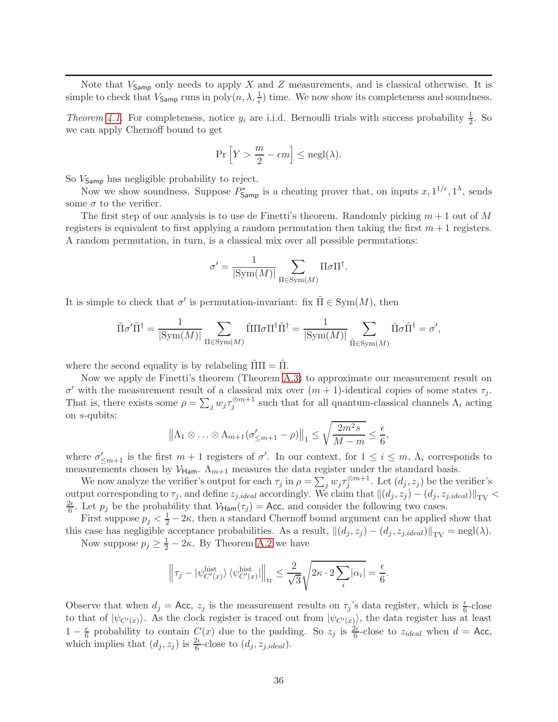Note that  $V_{\text{Samp}}$  only needs to apply X and Z measurements, and is classical otherwise. It is simple to check that  $V_{\text{Samp}}$  runs in  $\text{poly}(n, \lambda, \frac{1}{\epsilon})$  time. We now show its completeness and soundness.

*Theorem [4.1.](#page-12-2)* For completeness, notice  $y_i$  are i.i.d. Bernoulli trials with success probability  $\frac{1}{2}$ . So we can apply Chernoff bound to get

$$
\Pr\left[Y > \frac{m}{2} - \epsilon m\right] \le \text{negl}(\lambda).
$$

So  $V_{\text{Samp}}$  has negligible probability to reject.

Now we show soundness. Suppose  $P_{\text{Samp}}^*$  is a cheating prover that, on inputs  $x, 1^{1/\epsilon}, 1^{\lambda}$ , sends some  $\sigma$  to the verifier.

The first step of our analysis is to use de Finetti's theorem. Randomly picking  $m + 1$  out of M registers is equivalent to first applying a random permutation then taking the first  $m+1$  registers. A random permutation, in turn, is a classical mix over all possible permutations:

$$
\sigma' = \frac{1}{|\text{Sym}(M)|} \sum_{\Pi \in \text{Sym}(M)} \Pi \sigma \Pi^{\dagger}.
$$

It is simple to check that  $\sigma'$  is permutation-invariant: fix  $\tilde{\Pi} \in \text{Sym}(M)$ , then

$$
\tilde{\Pi}\sigma'\tilde{\Pi}^{\dagger} = \frac{1}{|\text{Sym}(M)|} \sum_{\Pi \in \text{Sym}(M)} \tilde{\Pi}\Pi\sigma\Pi^{\dagger}\tilde{\Pi}^{\dagger} = \frac{1}{|\text{Sym}(M)|} \sum_{\tilde{\Pi} \in \text{Sym}(M)} \hat{\Pi}\sigma\hat{\Pi}^{\dagger} = \sigma',
$$

where the second equality is by relabeling  $\overline{\Pi} = \hat{\Pi}$ .

Now we apply de Finetti's theorem (Theorem [A.3\)](#page-33-1) to approximate our measurement result on σ' with the measurement result of a classical mix over  $(m + 1)$ -identical copies of some states  $τ_j$ . That is, there exists some  $\rho = \sum_j w_j \tau_j^{\otimes m+1}$  such that for all quantum-classical channels  $\Lambda_i$  acting on s-qubits:

$$
\left\|\Lambda_1\otimes\ldots\otimes\Lambda_{m+1}(\sigma'_{\leq m+1}-\rho)\right\|_1\leq\sqrt{\frac{2m^2s}{M-m}}\leq\frac{\epsilon}{6},
$$

where  $\sigma'_{\leq m+1}$  is the first  $m+1$  registers of  $\sigma'$ . In our context, for  $1 \leq i \leq m$ ,  $\Lambda_i$  corresponds to measurements chosen by  $V_{\text{Ham}}$ .  $\Lambda_{m+1}$  measures the data register under the standard basis.

We now analyze the verifier's output for each  $\tau_j$  in  $\rho = \sum_j w_j \tau_j^{\otimes m+1}$ . Let  $(d_j, z_j)$  be the verifier's output corresponding to  $\tau_j$ , and define  $z_{j,ideal}$  accordingly. We claim that  $\|(d_j, z_j) - (d_j, z_{j,ideal})\|_{TV}$  $2\epsilon$  $\frac{2\epsilon}{6}$ . Let  $p_j$  be the probability that  $\mathcal{V}_{\text{Ham}}(\tau_j) = \text{Acc}$ , and consider the following two cases.

First suppose  $p_j < \frac{1}{2} - 2\kappa$ , then a standard Chernoff bound argument can be applied show that this case has negligible acceptance probabilities. As a result,  $\|(d_j, z_j) - (d_j, z_{j, ideal})\|_{TV} = \text{negl}(\lambda)$ .

Now suppose  $p_j \geq \frac{1}{2} - 2\kappa$ . By Theorem [A.2](#page-33-2) we have

$$
\left\|\tau_j - \ket{\psi^{\rm hist}_{C'(x)}}\bra{\psi^{\rm hist}_{C'(x)}}\right\|_{\rm tr} \leq \frac{2}{\sqrt{3}}\sqrt{2\kappa\cdot 2\sum_i|\alpha_i|} = \frac{\epsilon}{6}.
$$

Observe that when  $d_j = \text{Acc}, z_j$  is the measurement results on  $\tau_j$ 's data register, which is  $\frac{\epsilon}{6}$ -close to that of  $|\psi_{C'(x)}\rangle$ . As the clock register is traced out from  $|\psi_{C'(x)}\rangle$ , the data register has at least  $1-\frac{\epsilon}{6}$  $\frac{\epsilon}{6}$  probability to contain  $C(x)$  due to the padding. So  $z_j$  is  $\frac{2\epsilon}{6}$ -close to  $z_{ideal}$  when  $d = Acc$ , which implies that  $(d_j, z_j)$  is  $\frac{2\epsilon}{6}$ -close to  $(d_j, z_{j, ideal})$ .